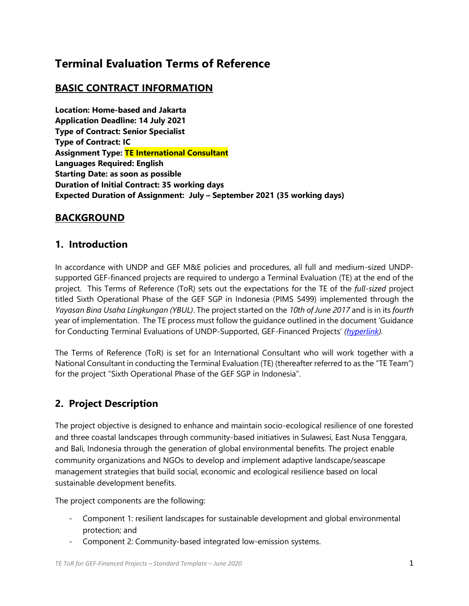## **Terminal Evaluation Terms of Reference**

## **BASIC CONTRACT INFORMATION**

**Location: Home-based and Jakarta Application Deadline: 14 July 2021 Type of Contract: Senior Specialist Type of Contract: IC Assignment Type: TE International Consultant Languages Required: English Starting Date: as soon as possible Duration of Initial Contract: 35 working days Expected Duration of Assignment: July – September 2021 (35 working days)**

## **BACKGROUND**

### **1. Introduction**

In accordance with UNDP and GEF M&E policies and procedures, all full and medium-sized UNDPsupported GEF-financed projects are required to undergo a Terminal Evaluation (TE) at the end of the project. This Terms of Reference (ToR) sets out the expectations for the TE of the *full-sized* project titled Sixth Operational Phase of the GEF SGP in Indonesia (PIMS 5499) implemented through the *Yayasan Bina Usaha Lingkungan (YBUL)*. The project started on the *10th of June 2017* and is in its *fourth* year of implementation. The TE process must follow the guidance outlined in the document 'Guidance for Conducting Terminal Evaluations of UNDP-Supported, GEF-Financed Projects' *[\(hyperlink\)](http://web.undp.org/evaluation/guideline/documents/GEF/TE_GuidanceforUNDP-supportedGEF-financedProjects.pdf).*

The Terms of Reference (ToR) is set for an International Consultant who will work together with a National Consultant in conducting the Terminal Evaluation (TE) (thereafter referred to as the "TE Team") for the project "Sixth Operational Phase of the GEF SGP in Indonesia".

## **2. Project Description**

The project objective is designed to enhance and maintain socio-ecological resilience of one forested and three coastal landscapes through community-based initiatives in Sulawesi, East Nusa Tenggara, and Bali, Indonesia through the generation of global environmental benefits. The project enable community organizations and NGOs to develop and implement adaptive landscape/seascape management strategies that build social, economic and ecological resilience based on local sustainable development benefits.

The project components are the following:

- Component 1: resilient landscapes for sustainable development and global environmental protection; and
- Component 2: Community-based integrated low-emission systems.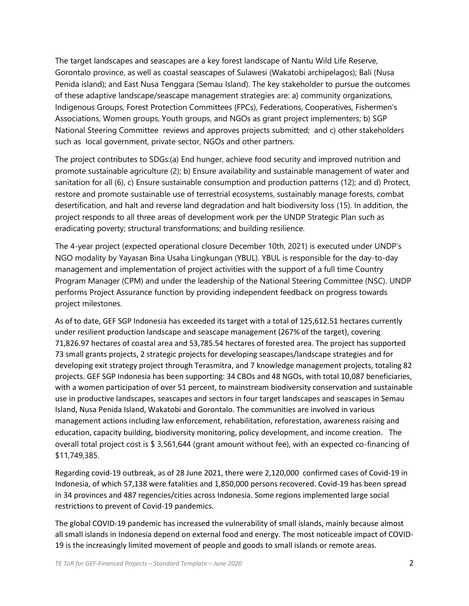The target landscapes and seascapes are a key forest landscape of Nantu Wild Life Reserve, Gorontalo province, as well as coastal seascapes of Sulawesi (Wakatobi archipelagos); Bali (Nusa Penida island); and East Nusa Tenggara (Semau Island). The key stakeholder to pursue the outcomes of these adaptive landscape/seascape management strategies are: a) community organizations, Indigenous Groups, Forest Protection Committees (FPCs), Federations, Cooperatives, Fishermen's Associations, Women groups, Youth groups, and NGOs as grant project implementers; b) SGP National Steering Committee reviews and approves projects submitted; and c) other stakeholders such as local government, private sector, NGOs and other partners.

The project contributes to SDGs:(a) End hunger, achieve food security and improved nutrition and promote sustainable agriculture (2); b) Ensure availability and sustainable management of water and sanitation for all (6), c) Ensure sustainable consumption and production patterns (12); and d) Protect, restore and promote sustainable use of terrestrial ecosystems, sustainably manage forests, combat desertification, and halt and reverse land degradation and halt biodiversity loss (15). In addition, the project responds to all three areas of development work per the UNDP Strategic Plan such as eradicating poverty; structural transformations; and building resilience.

The 4-year project (expected operational closure December 10th, 2021) is executed under UNDP's NGO modality by Yayasan Bina Usaha Lingkungan (YBUL). YBUL is responsible for the day-to-day management and implementation of project activities with the support of a full time Country Program Manager (CPM) and under the leadership of the National Steering Committee (NSC). UNDP performs Project Assurance function by providing independent feedback on progress towards project milestones.

As of to date, GEF SGP Indonesia has exceeded its target with a total of 125,612.51 hectares currently under resilient production landscape and seascape management (267% of the target), covering 71,826.97 hectares of coastal area and 53,785.54 hectares of forested area. The project has supported 73 small grants projects, 2 strategic projects for developing seascapes/landscape strategies and for developing exit strategy project through Terasmitra, and 7 knowledge management projects, totaling 82 projects. GEF SGP Indonesia has been supporting: 34 CBOs and 48 NGOs, with total 10,087 beneficiaries, with a women participation of over 51 percent, to mainstream biodiversity conservation and sustainable use in productive landscapes, seascapes and sectors in four target landscapes and seascapes in Semau Island, Nusa Penida Island, Wakatobi and Gorontalo. The communities are involved in various management actions including law enforcement, rehabilitation, reforestation, awareness raising and education, capacity building, biodiversity monitoring, policy development, and income creation. The overall total project cost is \$ 3,561,644 (grant amount without fee), with an expected co-financing of \$11,749,385.

Regarding covid-19 outbreak, as of 28 June 2021, there were 2,120,000 confirmed cases of Covid-19 in Indonesia, of which 57,138 were fatalities and 1,850,000 persons recovered. Covid-19 has been spread in 34 provinces and 487 regencies/cities across Indonesia. Some regions implemented large social restrictions to prevent of Covid-19 pandemics.

The global COVID-19 pandemic has increased the vulnerability of small islands, mainly because almost all small islands in Indonesia depend on external food and energy. The most noticeable impact of COVID-19 is the increasingly limited movement of people and goods to small islands or remote areas.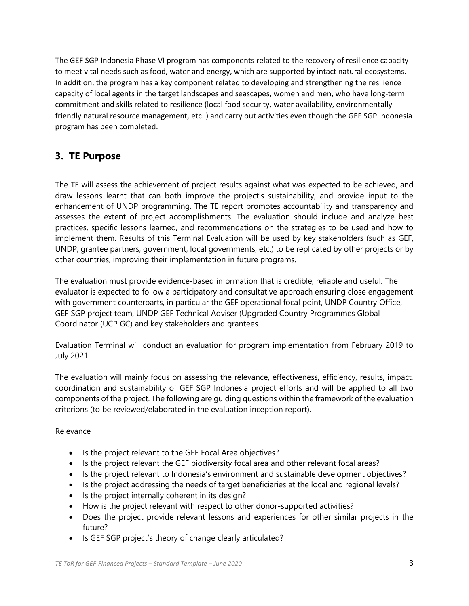The GEF SGP Indonesia Phase VI program has components related to the recovery of resilience capacity to meet vital needs such as food, water and energy, which are supported by intact natural ecosystems. In addition, the program has a key component related to developing and strengthening the resilience capacity of local agents in the target landscapes and seascapes, women and men, who have long-term commitment and skills related to resilience (local food security, water availability, environmentally friendly natural resource management, etc. ) and carry out activities even though the GEF SGP Indonesia program has been completed.

## **3. TE Purpose**

The TE will assess the achievement of project results against what was expected to be achieved, and draw lessons learnt that can both improve the project's sustainability, and provide input to the enhancement of UNDP programming. The TE report promotes accountability and transparency and assesses the extent of project accomplishments. The evaluation should include and analyze best practices, specific lessons learned, and recommendations on the strategies to be used and how to implement them. Results of this Terminal Evaluation will be used by key stakeholders (such as GEF, UNDP, grantee partners, government, local governments, etc.) to be replicated by other projects or by other countries, improving their implementation in future programs.

The evaluation must provide evidence‐based information that is credible, reliable and useful. The evaluator is expected to follow a participatory and consultative approach ensuring close engagement with government counterparts, in particular the GEF operational focal point, UNDP Country Office, GEF SGP project team, UNDP GEF Technical Adviser (Upgraded Country Programmes Global Coordinator (UCP GC) and key stakeholders and grantees.

Evaluation Terminal will conduct an evaluation for program implementation from February 2019 to July 2021.

The evaluation will mainly focus on assessing the relevance, effectiveness, efficiency, results, impact, coordination and sustainability of GEF SGP Indonesia project efforts and will be applied to all two components of the project. The following are guiding questions within the framework of the evaluation criterions (to be reviewed/elaborated in the evaluation inception report).

#### Relevance

- Is the project relevant to the GEF Focal Area objectives?
- Is the project relevant the GEF biodiversity focal area and other relevant focal areas?
- Is the project relevant to Indonesia's environment and sustainable development objectives?
- Is the project addressing the needs of target beneficiaries at the local and regional levels?
- Is the project internally coherent in its design?
- How is the project relevant with respect to other donor-supported activities?
- Does the project provide relevant lessons and experiences for other similar projects in the future?
- Is GEF SGP project's theory of change clearly articulated?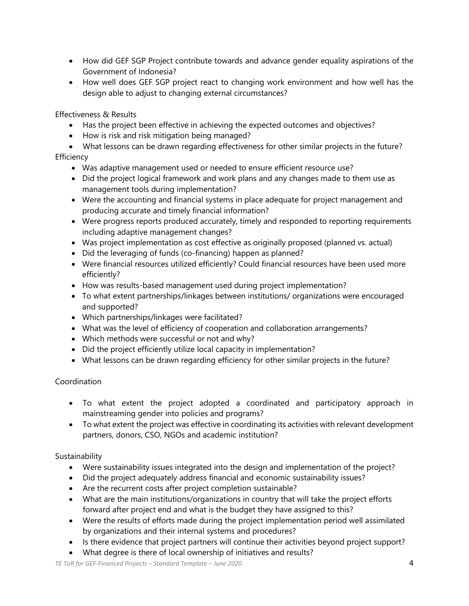- How did GEF SGP Project contribute towards and advance gender equality aspirations of the Government of Indonesia?
- How well does GEF SGP project react to changing work environment and how well has the design able to adjust to changing external circumstances?

Effectiveness & Results

- Has the project been effective in achieving the expected outcomes and objectives?
- How is risk and risk mitigation being managed?
- What lessons can be drawn regarding effectiveness for other similar projects in the future? **Efficiency** 
	- Was adaptive management used or needed to ensure efficient resource use?
	- Did the project logical framework and work plans and any changes made to them use as management tools during implementation?
	- Were the accounting and financial systems in place adequate for project management and producing accurate and timely financial information?
	- Were progress reports produced accurately, timely and responded to reporting requirements including adaptive management changes?
	- Was project implementation as cost effective as originally proposed (planned vs. actual)
	- Did the leveraging of funds (co-financing) happen as planned?
	- Were financial resources utilized efficiently? Could financial resources have been used more efficiently?
	- How was results-based management used during project implementation?
	- To what extent partnerships/linkages between institutions/ organizations were encouraged and supported?
	- Which partnerships/linkages were facilitated?
	- What was the level of efficiency of cooperation and collaboration arrangements?
	- Which methods were successful or not and why?
	- Did the project efficiently utilize local capacity in implementation?
	- What lessons can be drawn regarding efficiency for other similar projects in the future?

#### Coordination

- To what extent the project adopted a coordinated and participatory approach in mainstreaming gender into policies and programs?
- To what extent the project was effective in coordinating its activities with relevant development partners, donors, CSO, NGOs and academic institution?

#### Sustainability

- Were sustainability issues integrated into the design and implementation of the project?
- Did the project adequately address financial and economic sustainability issues?
- Are the recurrent costs after project completion sustainable?
- What are the main institutions/organizations in country that will take the project efforts forward after project end and what is the budget they have assigned to this?
- Were the results of efforts made during the project implementation period well assimilated by organizations and their internal systems and procedures?
- Is there evidence that project partners will continue their activities beyond project support?
- What degree is there of local ownership of initiatives and results?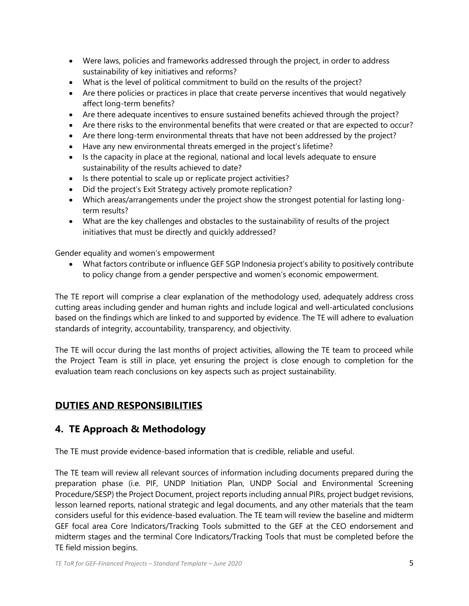- Were laws, policies and frameworks addressed through the project, in order to address sustainability of key initiatives and reforms?
- What is the level of political commitment to build on the results of the project?
- Are there policies or practices in place that create perverse incentives that would negatively affect long-term benefits?
- Are there adequate incentives to ensure sustained benefits achieved through the project?
- Are there risks to the environmental benefits that were created or that are expected to occur?
- Are there long-term environmental threats that have not been addressed by the project?
- Have any new environmental threats emerged in the project's lifetime?
- Is the capacity in place at the regional, national and local levels adequate to ensure sustainability of the results achieved to date?
- Is there potential to scale up or replicate project activities?
- Did the project's Exit Strategy actively promote replication?
- Which areas/arrangements under the project show the strongest potential for lasting longterm results?
- What are the key challenges and obstacles to the sustainability of results of the project initiatives that must be directly and quickly addressed?

Gender equality and women's empowerment

• What factors contribute or influence GEF SGP Indonesia project's ability to positively contribute to policy change from a gender perspective and women's economic empowerment.

The TE report will comprise a clear explanation of the methodology used, adequately address cross cutting areas including gender and human rights and include logical and well-articulated conclusions based on the findings which are linked to and supported by evidence. The TE will adhere to evaluation standards of integrity, accountability, transparency, and objectivity.

The TE will occur during the last months of project activities, allowing the TE team to proceed while the Project Team is still in place, yet ensuring the project is close enough to completion for the evaluation team reach conclusions on key aspects such as project sustainability.

## **DUTIES AND RESPONSIBILITIES**

## **4. TE Approach & Methodology**

The TE must provide evidence-based information that is credible, reliable and useful.

The TE team will review all relevant sources of information including documents prepared during the preparation phase (i.e. PIF, UNDP Initiation Plan, UNDP Social and Environmental Screening Procedure/SESP) the Project Document, project reports including annual PIRs, project budget revisions, lesson learned reports, national strategic and legal documents, and any other materials that the team considers useful for this evidence-based evaluation. The TE team will review the baseline and midterm GEF focal area Core Indicators/Tracking Tools submitted to the GEF at the CEO endorsement and midterm stages and the terminal Core Indicators/Tracking Tools that must be completed before the TE field mission begins.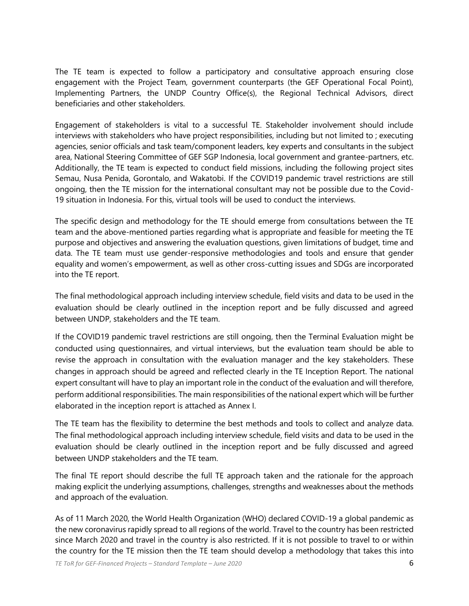The TE team is expected to follow a participatory and consultative approach ensuring close engagement with the Project Team, government counterparts (the GEF Operational Focal Point), Implementing Partners, the UNDP Country Office(s), the Regional Technical Advisors, direct beneficiaries and other stakeholders.

Engagement of stakeholders is vital to a successful TE. Stakeholder involvement should include interviews with stakeholders who have project responsibilities, including but not limited to ; executing agencies, senior officials and task team/component leaders, key experts and consultants in the subject area, National Steering Committee of GEF SGP Indonesia, local government and grantee-partners, etc. Additionally, the TE team is expected to conduct field missions, including the following project sites Semau, Nusa Penida, Gorontalo, and Wakatobi. If the COVID19 pandemic travel restrictions are still ongoing, then the TE mission for the international consultant may not be possible due to the Covid-19 situation in Indonesia. For this, virtual tools will be used to conduct the interviews.

The specific design and methodology for the TE should emerge from consultations between the TE team and the above-mentioned parties regarding what is appropriate and feasible for meeting the TE purpose and objectives and answering the evaluation questions, given limitations of budget, time and data. The TE team must use gender-responsive methodologies and tools and ensure that gender equality and women's empowerment, as well as other cross-cutting issues and SDGs are incorporated into the TE report.

The final methodological approach including interview schedule, field visits and data to be used in the evaluation should be clearly outlined in the inception report and be fully discussed and agreed between UNDP, stakeholders and the TE team.

If the COVID19 pandemic travel restrictions are still ongoing, then the Terminal Evaluation might be conducted using questionnaires, and virtual interviews, but the evaluation team should be able to revise the approach in consultation with the evaluation manager and the key stakeholders. These changes in approach should be agreed and reflected clearly in the TE Inception Report. The national expert consultant will have to play an important role in the conduct of the evaluation and will therefore, perform additional responsibilities. The main responsibilities of the national expert which will be further elaborated in the inception report is attached as Annex I.

The TE team has the flexibility to determine the best methods and tools to collect and analyze data. The final methodological approach including interview schedule, field visits and data to be used in the evaluation should be clearly outlined in the inception report and be fully discussed and agreed between UNDP stakeholders and the TE team.

The final TE report should describe the full TE approach taken and the rationale for the approach making explicit the underlying assumptions, challenges, strengths and weaknesses about the methods and approach of the evaluation.

As of 11 March 2020, the World Health Organization (WHO) declared COVID-19 a global pandemic as the new coronavirus rapidly spread to all regions of the world. Travel to the country has been restricted since March 2020 and travel in the country is also restricted. If it is not possible to travel to or within the country for the TE mission then the TE team should develop a methodology that takes this into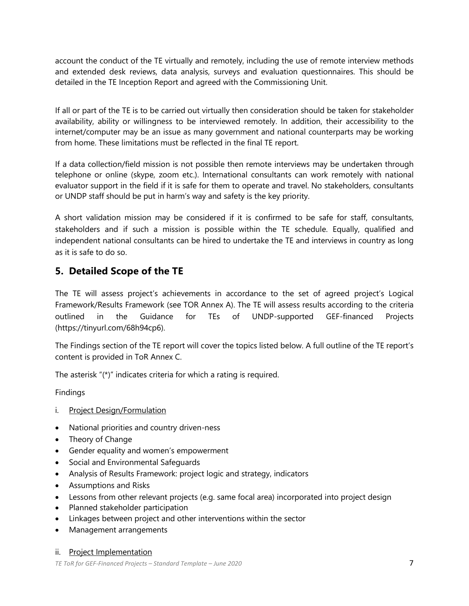account the conduct of the TE virtually and remotely, including the use of remote interview methods and extended desk reviews, data analysis, surveys and evaluation questionnaires. This should be detailed in the TE Inception Report and agreed with the Commissioning Unit.

If all or part of the TE is to be carried out virtually then consideration should be taken for stakeholder availability, ability or willingness to be interviewed remotely. In addition, their accessibility to the internet/computer may be an issue as many government and national counterparts may be working from home. These limitations must be reflected in the final TE report.

If a data collection/field mission is not possible then remote interviews may be undertaken through telephone or online (skype, zoom etc.). International consultants can work remotely with national evaluator support in the field if it is safe for them to operate and travel. No stakeholders, consultants or UNDP staff should be put in harm's way and safety is the key priority.

A short validation mission may be considered if it is confirmed to be safe for staff, consultants, stakeholders and if such a mission is possible within the TE schedule. Equally, qualified and independent national consultants can be hired to undertake the TE and interviews in country as long as it is safe to do so.

## **5. Detailed Scope of the TE**

The TE will assess project's achievements in accordance to the set of agreed project's Logical Framework/Results Framework (see TOR Annex A). The TE will assess results according to the criteria outlined in the Guidance for TEs of UNDP-supported GEF-financed Projects (https://tinyurl.com/68h94cp6).

The Findings section of the TE report will cover the topics listed below. A full outline of the TE report's content is provided in ToR Annex C.

The asterisk "(\*)" indicates criteria for which a rating is required.

Findings

- i. Project Design/Formulation
- National priorities and country driven-ness
- Theory of Change
- Gender equality and women's empowerment
- Social and Environmental Safeguards
- Analysis of Results Framework: project logic and strategy, indicators
- Assumptions and Risks
- Lessons from other relevant projects (e.g. same focal area) incorporated into project design
- Planned stakeholder participation
- Linkages between project and other interventions within the sector
- Management arrangements

#### ii. Project Implementation

*TE ToR for GEF-Financed Projects – Standard Template – June 2020* 7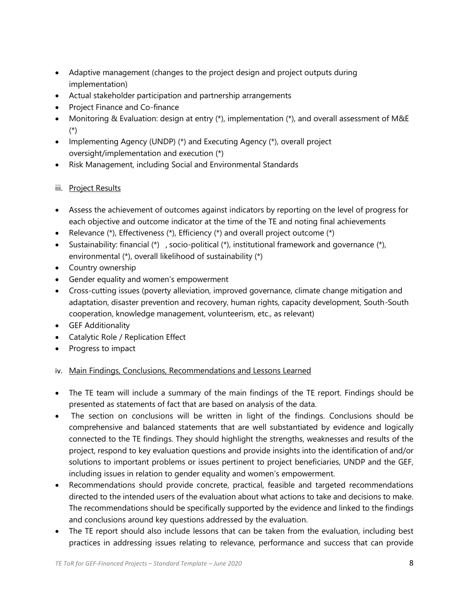- Adaptive management (changes to the project design and project outputs during implementation)
- Actual stakeholder participation and partnership arrangements
- Project Finance and Co-finance
- Monitoring & Evaluation: design at entry  $(*)$ , implementation  $(*)$ , and overall assessment of M&E (\*)
- Implementing Agency (UNDP) (\*) and Executing Agency (\*), overall project oversight/implementation and execution (\*)
- Risk Management, including Social and Environmental Standards

#### iii. Project Results

- Assess the achievement of outcomes against indicators by reporting on the level of progress for each objective and outcome indicator at the time of the TE and noting final achievements
- Relevance (\*), Effectiveness (\*), Efficiency (\*) and overall project outcome (\*)
- Sustainability: financial  $(*)$ , socio-political  $(*)$ , institutional framework and governance  $(*)$ , environmental (\*), overall likelihood of sustainability (\*)
- Country ownership
- Gender equality and women's empowerment
- Cross-cutting issues (poverty alleviation, improved governance, climate change mitigation and adaptation, disaster prevention and recovery, human rights, capacity development, South-South cooperation, knowledge management, volunteerism, etc., as relevant)
- GEF Additionality
- Catalytic Role / Replication Effect
- Progress to impact

#### iv. Main Findings, Conclusions, Recommendations and Lessons Learned

- The TE team will include a summary of the main findings of the TE report. Findings should be presented as statements of fact that are based on analysis of the data.
- The section on conclusions will be written in light of the findings. Conclusions should be comprehensive and balanced statements that are well substantiated by evidence and logically connected to the TE findings. They should highlight the strengths, weaknesses and results of the project, respond to key evaluation questions and provide insights into the identification of and/or solutions to important problems or issues pertinent to project beneficiaries, UNDP and the GEF, including issues in relation to gender equality and women's empowerment.
- Recommendations should provide concrete, practical, feasible and targeted recommendations directed to the intended users of the evaluation about what actions to take and decisions to make. The recommendations should be specifically supported by the evidence and linked to the findings and conclusions around key questions addressed by the evaluation.
- The TE report should also include lessons that can be taken from the evaluation, including best practices in addressing issues relating to relevance, performance and success that can provide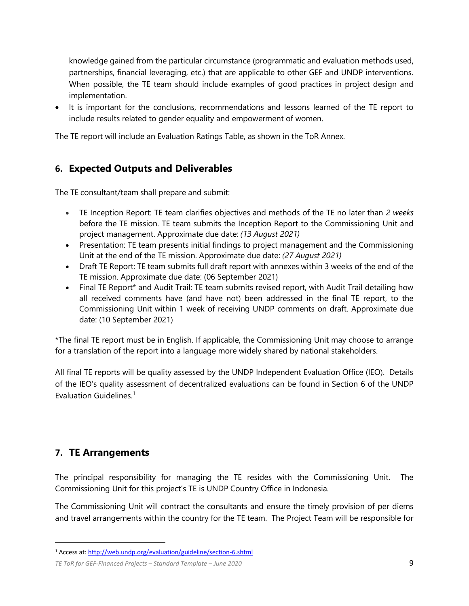knowledge gained from the particular circumstance (programmatic and evaluation methods used, partnerships, financial leveraging, etc.) that are applicable to other GEF and UNDP interventions. When possible, the TE team should include examples of good practices in project design and implementation.

• It is important for the conclusions, recommendations and lessons learned of the TE report to include results related to gender equality and empowerment of women.

The TE report will include an Evaluation Ratings Table, as shown in the ToR Annex.

## **6. Expected Outputs and Deliverables**

The TE consultant/team shall prepare and submit:

- TE Inception Report: TE team clarifies objectives and methods of the TE no later than *2 weeks* before the TE mission. TE team submits the Inception Report to the Commissioning Unit and project management. Approximate due date: *(13 August 2021)*
- Presentation: TE team presents initial findings to project management and the Commissioning Unit at the end of the TE mission. Approximate due date: *(27 August 2021)*
- Draft TE Report: TE team submits full draft report with annexes within 3 weeks of the end of the TE mission. Approximate due date: (06 September 2021)
- Final TE Report\* and Audit Trail: TE team submits revised report, with Audit Trail detailing how all received comments have (and have not) been addressed in the final TE report, to the Commissioning Unit within 1 week of receiving UNDP comments on draft. Approximate due date: (10 September 2021)

\*The final TE report must be in English. If applicable, the Commissioning Unit may choose to arrange for a translation of the report into a language more widely shared by national stakeholders.

All final TE reports will be quality assessed by the UNDP Independent Evaluation Office (IEO). Details of the IEO's quality assessment of decentralized evaluations can be found in Section 6 of the UNDP Evaluation Guidelines. 1

## **7. TE Arrangements**

The principal responsibility for managing the TE resides with the Commissioning Unit. The Commissioning Unit for this project's TE is UNDP Country Office in Indonesia.

The Commissioning Unit will contract the consultants and ensure the timely provision of per diems and travel arrangements within the country for the TE team. The Project Team will be responsible for

<sup>1</sup> Access at[: http://web.undp.org/evaluation/guideline/section-6.shtml](http://web.undp.org/evaluation/guideline/section-6.shtml)

*TE ToR for GEF-Financed Projects – Standard Template – June 2020* 9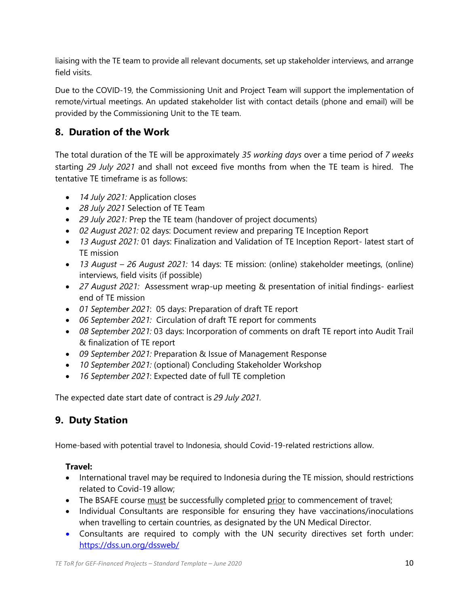liaising with the TE team to provide all relevant documents, set up stakeholder interviews, and arrange field visits.

Due to the COVID-19, the Commissioning Unit and Project Team will support the implementation of remote/virtual meetings. An updated stakeholder list with contact details (phone and email) will be provided by the Commissioning Unit to the TE team.

## **8. Duration of the Work**

The total duration of the TE will be approximately *35 working days* over a time period of *7 weeks* starting *29 July 2021* and shall not exceed five months from when the TE team is hired. The tentative TE timeframe is as follows:

- *14 July 2021:* Application closes
- *28 July 2021* Selection of TE Team
- *29 July 2021:* Prep the TE team (handover of project documents)
- *02 August 2021:* 02 days: Document review and preparing TE Inception Report
- *13 August 2021:* 01 days: Finalization and Validation of TE Inception Report- latest start of TE mission
- *13 August – 26 August 2021:* 14 days: TE mission: (online) stakeholder meetings, (online) interviews, field visits (if possible)
- *27 August 2021:* Assessment wrap-up meeting & presentation of initial findings- earliest end of TE mission
- *01 September 2021*: 05 days: Preparation of draft TE report
- *06 September 2021:* Circulation of draft TE report for comments
- *08 September 2021:* 03 days: Incorporation of comments on draft TE report into Audit Trail & finalization of TE report
- *09 September 2021:* Preparation & Issue of Management Response
- *10 September 2021:* (optional) Concluding Stakeholder Workshop
- *16 September 2021*: Expected date of full TE completion

The expected date start date of contract is *29 July 2021.*

## **9. Duty Station**

Home-based with potential travel to Indonesia, should Covid-19-related restrictions allow.

#### **Travel:**

- International travel may be required to Indonesia during the TE mission, should restrictions related to Covid-19 allow;
- The BSAFE course must be successfully completed prior to commencement of travel;
- Individual Consultants are responsible for ensuring they have vaccinations/inoculations when travelling to certain countries, as designated by the UN Medical Director.
- Consultants are required to comply with the UN security directives set forth under: <https://dss.un.org/dssweb/>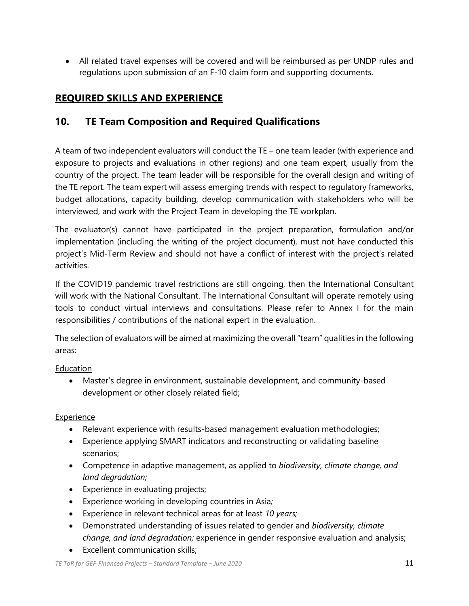• All related travel expenses will be covered and will be reimbursed as per UNDP rules and regulations upon submission of an F-10 claim form and supporting documents.

## **REQUIRED SKILLS AND EXPERIENCE**

## **10. TE Team Composition and Required Qualifications**

A team of two independent evaluators will conduct the TE – one team leader (with experience and exposure to projects and evaluations in other regions) and one team expert, usually from the country of the project. The team leader will be responsible for the overall design and writing of the TE report. The team expert will assess emerging trends with respect to regulatory frameworks, budget allocations, capacity building, develop communication with stakeholders who will be interviewed, and work with the Project Team in developing the TE workplan.

The evaluator(s) cannot have participated in the project preparation, formulation and/or implementation (including the writing of the project document), must not have conducted this project's Mid-Term Review and should not have a conflict of interest with the project's related activities.

If the COVID19 pandemic travel restrictions are still ongoing, then the International Consultant will work with the National Consultant. The International Consultant will operate remotely using tools to conduct virtual interviews and consultations. Please refer to Annex I for the main responsibilities / contributions of the national expert in the evaluation.

The selection of evaluators will be aimed at maximizing the overall "team" qualities in the following areas:

#### Education

• Master's degree in environment, sustainable development, and community-based development or other closely related field;

#### Experience

- Relevant experience with results-based management evaluation methodologies;
- Experience applying SMART indicators and reconstructing or validating baseline scenarios;
- Competence in adaptive management, as applied to *biodiversity, climate change, and land degradation;*
- Experience in evaluating projects;
- Experience working in developing countries in Asia*;*
- Experience in relevant technical areas for at least *10 years;*
- Demonstrated understanding of issues related to gender and *biodiversity, climate change, and land degradation;* experience in gender responsive evaluation and analysis;
- Excellent communication skills;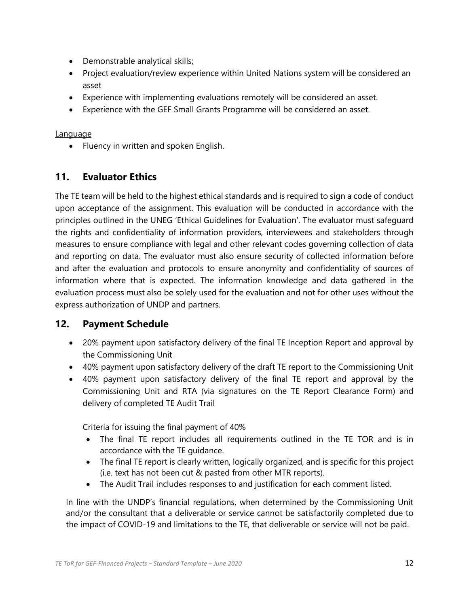- Demonstrable analytical skills;
- Project evaluation/review experience within United Nations system will be considered an asset
- Experience with implementing evaluations remotely will be considered an asset.
- Experience with the GEF Small Grants Programme will be considered an asset.

#### Language

• Fluency in written and spoken English.

## **11. Evaluator Ethics**

The TE team will be held to the highest ethical standards and is required to sign a code of conduct upon acceptance of the assignment. This evaluation will be conducted in accordance with the principles outlined in the UNEG 'Ethical Guidelines for Evaluation'. The evaluator must safeguard the rights and confidentiality of information providers, interviewees and stakeholders through measures to ensure compliance with legal and other relevant codes governing collection of data and reporting on data. The evaluator must also ensure security of collected information before and after the evaluation and protocols to ensure anonymity and confidentiality of sources of information where that is expected. The information knowledge and data gathered in the evaluation process must also be solely used for the evaluation and not for other uses without the express authorization of UNDP and partners.

### **12. Payment Schedule**

- 20% payment upon satisfactory delivery of the final TE Inception Report and approval by the Commissioning Unit
- 40% payment upon satisfactory delivery of the draft TE report to the Commissioning Unit
- 40% payment upon satisfactory delivery of the final TE report and approval by the Commissioning Unit and RTA (via signatures on the TE Report Clearance Form) and delivery of completed TE Audit Trail

Criteria for issuing the final payment of 40%

- The final TE report includes all requirements outlined in the TE TOR and is in accordance with the TE guidance.
- The final TE report is clearly written, logically organized, and is specific for this project (i.e. text has not been cut & pasted from other MTR reports).
- The Audit Trail includes responses to and justification for each comment listed.

In line with the UNDP's financial regulations, when determined by the Commissioning Unit and/or the consultant that a deliverable or service cannot be satisfactorily completed due to the impact of COVID-19 and limitations to the TE, that deliverable or service will not be paid.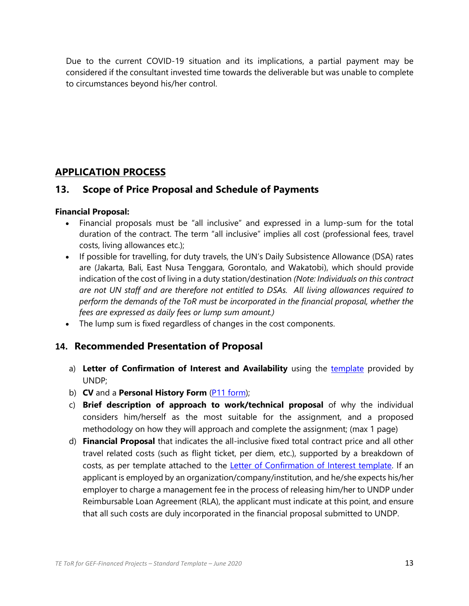Due to the current COVID-19 situation and its implications, a partial payment may be considered if the consultant invested time towards the deliverable but was unable to complete to circumstances beyond his/her control.

## **APPLICATION PROCESS**

### **13. Scope of Price Proposal and Schedule of Payments**

#### **Financial Proposal:**

- Financial proposals must be "all inclusive" and expressed in a lump-sum for the total duration of the contract. The term "all inclusive" implies all cost (professional fees, travel costs, living allowances etc.);
- If possible for travelling, for duty travels, the UN's Daily Subsistence Allowance (DSA) rates are (Jakarta, Bali, East Nusa Tenggara, Gorontalo, and Wakatobi), which should provide indication of the cost of living in a duty station/destination *(Note: Individuals on this contract are not UN staff and are therefore not entitled to DSAs. All living allowances required to perform the demands of the ToR must be incorporated in the financial proposal, whether the fees are expressed as daily fees or lump sum amount.)*
- The lump sum is fixed regardless of changes in the cost components.

## **14. Recommended Presentation of Proposal**

- a) Letter of Confirmation of Interest and Availability using the [template](https://intranet.undp.org/unit/bom/pso/Support%20documents%20on%20IC%20Guidelines/Template%20for%20Confirmation%20of%20Interest%20and%20Submission%20of%20Financial%20Proposal.docx) provided by UNDP;
- b) **CV** and a **Personal History Form** [\(P11 form\)](http://www.undp.org/content/dam/undp/library/corporate/Careers/P11_Personal_history_form.doc);
- c) **Brief description of approach to work/technical proposal** of why the individual considers him/herself as the most suitable for the assignment, and a proposed methodology on how they will approach and complete the assignment; (max 1 page)
- d) **Financial Proposal** that indicates the all-inclusive fixed total contract price and all other travel related costs (such as flight ticket, per diem, etc.), supported by a breakdown of costs, as per template attached to the **Letter of Confirmation of Interest template**. If an applicant is employed by an organization/company/institution, and he/she expects his/her employer to charge a management fee in the process of releasing him/her to UNDP under Reimbursable Loan Agreement (RLA), the applicant must indicate at this point, and ensure that all such costs are duly incorporated in the financial proposal submitted to UNDP.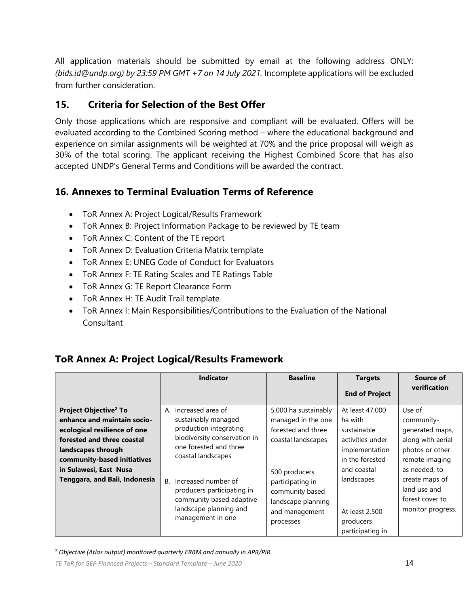All application materials should be submitted by email at the following address ONLY: *(bids.id@undp.org) by 23:59 PM GMT +7 on 14 July 2021.* Incomplete applications will be excluded from further consideration.

## **15. Criteria for Selection of the Best Offer**

Only those applications which are responsive and compliant will be evaluated. Offers will be evaluated according to the Combined Scoring method – where the educational background and experience on similar assignments will be weighted at 70% and the price proposal will weigh as 30% of the total scoring. The applicant receiving the Highest Combined Score that has also accepted UNDP's General Terms and Conditions will be awarded the contract.

## **16. Annexes to Terminal Evaluation Terms of Reference**

- ToR Annex A: Project Logical/Results Framework
- ToR Annex B: Project Information Package to be reviewed by TE team
- ToR Annex C: Content of the TE report
- ToR Annex D: Evaluation Criteria Matrix template
- ToR Annex E: UNEG Code of Conduct for Evaluators
- ToR Annex F: TE Rating Scales and TE Ratings Table
- ToR Annex G: TE Report Clearance Form
- ToR Annex H: TE Audit Trail template
- ToR Annex I: Main Responsibilities/Contributions to the Evaluation of the National **Consultant**

## **ToR Annex A: Project Logical/Results Framework**

|                                                                                                                                                                                                                                                | <b>Indicator</b>                                                                                                                                                                                                                                                                            | <b>Baseline</b>                                                                                                                                                                                     | <b>Targets</b>                                                                                                                                                                     | Source of                                                                                                                                                                                    |
|------------------------------------------------------------------------------------------------------------------------------------------------------------------------------------------------------------------------------------------------|---------------------------------------------------------------------------------------------------------------------------------------------------------------------------------------------------------------------------------------------------------------------------------------------|-----------------------------------------------------------------------------------------------------------------------------------------------------------------------------------------------------|------------------------------------------------------------------------------------------------------------------------------------------------------------------------------------|----------------------------------------------------------------------------------------------------------------------------------------------------------------------------------------------|
|                                                                                                                                                                                                                                                |                                                                                                                                                                                                                                                                                             |                                                                                                                                                                                                     | <b>End of Project</b>                                                                                                                                                              | verification                                                                                                                                                                                 |
| Project Objective <sup>2</sup> To<br>enhance and maintain socio-<br>ecological resilience of one<br>forested and three coastal<br>landscapes through<br>community-based initiatives<br>in Sulawesi, East Nusa<br>Tenggara, and Bali, Indonesia | A. Increased area of<br>sustainably managed<br>production integrating<br>biodiversity conservation in<br>one forested and three<br>coastal landscapes<br>Increased number of<br>В.<br>producers participating in<br>community based adaptive<br>landscape planning and<br>management in one | 5,000 ha sustainably<br>managed in the one<br>forested and three<br>coastal landscapes<br>500 producers<br>participating in<br>community based<br>landscape planning<br>and management<br>processes | At least 47,000<br>ha with<br>sustainable<br>activities under<br>implementation<br>in the forested<br>and coastal<br>landscapes<br>At least 2,500<br>producers<br>participating in | Use of<br>community-<br>generated maps,<br>along with aerial<br>photos or other<br>remote imaging<br>as needed, to<br>create maps of<br>land use and<br>forest cover to<br>monitor progress. |

<sup>2</sup> *Objective (Atlas output) monitored quarterly ERBM and annually in APR/PIR*

*TE ToR for GEF-Financed Projects – Standard Template – June 2020* 14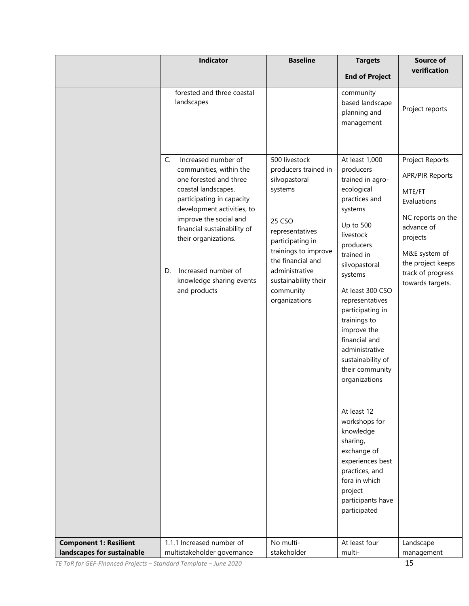|                                                             | <b>Indicator</b>                                                                                                                                                                                                                                                                                                           | <b>Baseline</b>                                                                                                                                                                                                                         | <b>Targets</b>                                                                                                                                                                                                                                                                                                                                                                                                                                                                                                                                  | <b>Source of</b><br>verification                                                                                                                                                                 |
|-------------------------------------------------------------|----------------------------------------------------------------------------------------------------------------------------------------------------------------------------------------------------------------------------------------------------------------------------------------------------------------------------|-----------------------------------------------------------------------------------------------------------------------------------------------------------------------------------------------------------------------------------------|-------------------------------------------------------------------------------------------------------------------------------------------------------------------------------------------------------------------------------------------------------------------------------------------------------------------------------------------------------------------------------------------------------------------------------------------------------------------------------------------------------------------------------------------------|--------------------------------------------------------------------------------------------------------------------------------------------------------------------------------------------------|
|                                                             |                                                                                                                                                                                                                                                                                                                            |                                                                                                                                                                                                                                         | <b>End of Project</b>                                                                                                                                                                                                                                                                                                                                                                                                                                                                                                                           |                                                                                                                                                                                                  |
|                                                             | forested and three coastal<br>landscapes                                                                                                                                                                                                                                                                                   |                                                                                                                                                                                                                                         | community<br>based landscape<br>planning and<br>management                                                                                                                                                                                                                                                                                                                                                                                                                                                                                      | Project reports                                                                                                                                                                                  |
|                                                             | Increased number of<br>C.<br>communities, within the<br>one forested and three<br>coastal landscapes,<br>participating in capacity<br>development activities, to<br>improve the social and<br>financial sustainability of<br>their organizations.<br>Increased number of<br>D.<br>knowledge sharing events<br>and products | 500 livestock<br>producers trained in<br>silvopastoral<br>systems<br>25 CSO<br>representatives<br>participating in<br>trainings to improve<br>the financial and<br>administrative<br>sustainability their<br>community<br>organizations | At least 1,000<br>producers<br>trained in agro-<br>ecological<br>practices and<br>systems<br>Up to 500<br>livestock<br>producers<br>trained in<br>silvopastoral<br>systems<br>At least 300 CSO<br>representatives<br>participating in<br>trainings to<br>improve the<br>financial and<br>administrative<br>sustainability of<br>their community<br>organizations<br>At least 12<br>workshops for<br>knowledge<br>sharing,<br>exchange of<br>experiences best<br>practices, and<br>fora in which<br>project<br>participants have<br>participated | Project Reports<br><b>APR/PIR Reports</b><br>MTE/FT<br>Evaluations<br>NC reports on the<br>advance of<br>projects<br>M&E system of<br>the project keeps<br>track of progress<br>towards targets. |
| <b>Component 1: Resilient</b><br>landscapes for sustainable | 1.1.1 Increased number of<br>multistakeholder governance                                                                                                                                                                                                                                                                   | No multi-<br>stakeholder                                                                                                                                                                                                                | At least four<br>multi-                                                                                                                                                                                                                                                                                                                                                                                                                                                                                                                         | Landscape<br>management                                                                                                                                                                          |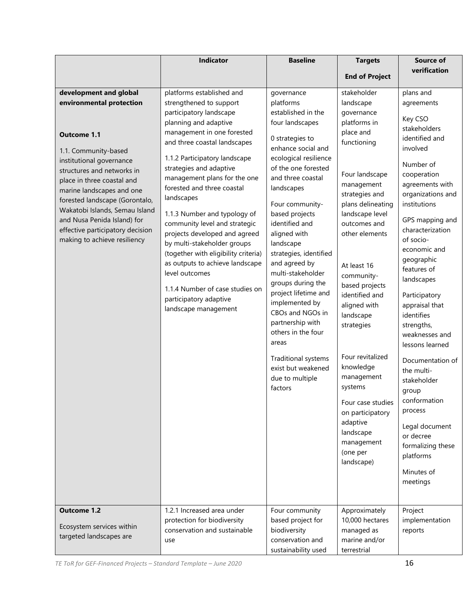|                                                                                                                                                                                                                                                                                                                                                                                                             | Indicator                                                                                                                                                                                                                                                                                                                                                                                                                                                                                                                                                                                                                         | <b>Baseline</b>                                                                                                                                                                                                                                                                                                                                                                                                                                                                                                                                                   | <b>Targets</b>                                                                                                                                                                                                                                                                                                                                                                                                                                                                                 | <b>Source of</b>                                                                                                                                                                                                                                                                                                                                                                                                                                                                                                                                                        |
|-------------------------------------------------------------------------------------------------------------------------------------------------------------------------------------------------------------------------------------------------------------------------------------------------------------------------------------------------------------------------------------------------------------|-----------------------------------------------------------------------------------------------------------------------------------------------------------------------------------------------------------------------------------------------------------------------------------------------------------------------------------------------------------------------------------------------------------------------------------------------------------------------------------------------------------------------------------------------------------------------------------------------------------------------------------|-------------------------------------------------------------------------------------------------------------------------------------------------------------------------------------------------------------------------------------------------------------------------------------------------------------------------------------------------------------------------------------------------------------------------------------------------------------------------------------------------------------------------------------------------------------------|------------------------------------------------------------------------------------------------------------------------------------------------------------------------------------------------------------------------------------------------------------------------------------------------------------------------------------------------------------------------------------------------------------------------------------------------------------------------------------------------|-------------------------------------------------------------------------------------------------------------------------------------------------------------------------------------------------------------------------------------------------------------------------------------------------------------------------------------------------------------------------------------------------------------------------------------------------------------------------------------------------------------------------------------------------------------------------|
|                                                                                                                                                                                                                                                                                                                                                                                                             |                                                                                                                                                                                                                                                                                                                                                                                                                                                                                                                                                                                                                                   |                                                                                                                                                                                                                                                                                                                                                                                                                                                                                                                                                                   | <b>End of Project</b>                                                                                                                                                                                                                                                                                                                                                                                                                                                                          | verification                                                                                                                                                                                                                                                                                                                                                                                                                                                                                                                                                            |
| development and global<br>environmental protection<br><b>Outcome 1.1</b><br>1.1. Community-based<br>institutional governance<br>structures and networks in<br>place in three coastal and<br>marine landscapes and one<br>forested landscape (Gorontalo,<br>Wakatobi Islands, Semau Island<br>and Nusa Penida Island) for<br>effective participatory decision<br>making to achieve resiliency<br>Outcome 1.2 | platforms established and<br>strengthened to support<br>participatory landscape<br>planning and adaptive<br>management in one forested<br>and three coastal landscapes<br>1.1.2 Participatory landscape<br>strategies and adaptive<br>management plans for the one<br>forested and three coastal<br>landscapes<br>1.1.3 Number and typology of<br>community level and strategic<br>projects developed and agreed<br>by multi-stakeholder groups<br>(together with eligibility criteria)<br>as outputs to achieve landscape<br>level outcomes<br>1.1.4 Number of case studies on<br>participatory adaptive<br>landscape management | governance<br>platforms<br>established in the<br>four landscapes<br>0 strategies to<br>enhance social and<br>ecological resilience<br>of the one forested<br>and three coastal<br>landscapes<br>Four community-<br>based projects<br>identified and<br>aligned with<br>landscape<br>strategies, identified<br>and agreed by<br>multi-stakeholder<br>groups during the<br>project lifetime and<br>implemented by<br>CBOs and NGOs in<br>partnership with<br>others in the four<br>areas<br>Traditional systems<br>exist but weakened<br>due to multiple<br>factors | stakeholder<br>landscape<br>governance<br>platforms in<br>place and<br>functioning<br>Four landscape<br>management<br>strategies and<br>plans delineating<br>landscape level<br>outcomes and<br>other elements<br>At least 16<br>community-<br>based projects<br>identified and<br>aligned with<br>landscape<br>strategies<br>Four revitalized<br>knowledge<br>management<br>systems<br>Four case studies<br>on participatory<br>adaptive<br>landscape<br>management<br>(one per<br>landscape) | plans and<br>agreements<br>Key CSO<br>stakeholders<br>identified and<br>involved<br>Number of<br>cooperation<br>agreements with<br>organizations and<br>institutions<br>GPS mapping and<br>characterization<br>of socio-<br>economic and<br>geographic<br>features of<br>landscapes<br>Participatory<br>appraisal that<br>identifies<br>strengths,<br>weaknesses and<br>lessons learned<br>Documentation of<br>the multi-<br>stakeholder<br>group<br>conformation<br>process<br>Legal document<br>or decree<br>formalizing these<br>platforms<br>Minutes of<br>meetings |
| Ecosystem services within<br>targeted landscapes are                                                                                                                                                                                                                                                                                                                                                        | 1.2.1 Increased area under<br>protection for biodiversity<br>conservation and sustainable<br>use                                                                                                                                                                                                                                                                                                                                                                                                                                                                                                                                  | Four community<br>based project for<br>biodiversity<br>conservation and<br>sustainability used                                                                                                                                                                                                                                                                                                                                                                                                                                                                    | Approximately<br>10,000 hectares<br>managed as<br>marine and/or<br>terrestrial                                                                                                                                                                                                                                                                                                                                                                                                                 | Project<br>implementation<br>reports                                                                                                                                                                                                                                                                                                                                                                                                                                                                                                                                    |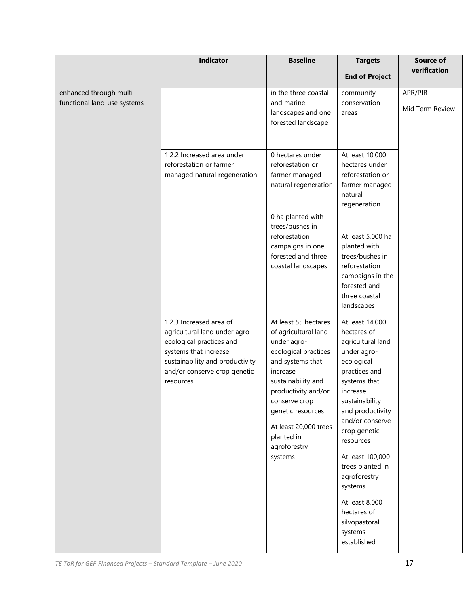|                                                        | Indicator                                                                                                                                                                                     | <b>Baseline</b>                                                                                                                                                                                                                                                          | <b>Targets</b>                                                                                                                                                                                                                                                                                                                                                     | <b>Source of</b>           |
|--------------------------------------------------------|-----------------------------------------------------------------------------------------------------------------------------------------------------------------------------------------------|--------------------------------------------------------------------------------------------------------------------------------------------------------------------------------------------------------------------------------------------------------------------------|--------------------------------------------------------------------------------------------------------------------------------------------------------------------------------------------------------------------------------------------------------------------------------------------------------------------------------------------------------------------|----------------------------|
|                                                        |                                                                                                                                                                                               |                                                                                                                                                                                                                                                                          | <b>End of Project</b>                                                                                                                                                                                                                                                                                                                                              | verification               |
| enhanced through multi-<br>functional land-use systems |                                                                                                                                                                                               | in the three coastal<br>and marine<br>landscapes and one<br>forested landscape                                                                                                                                                                                           | community<br>conservation<br>areas                                                                                                                                                                                                                                                                                                                                 | APR/PIR<br>Mid Term Review |
|                                                        | 1.2.2 Increased area under<br>reforestation or farmer<br>managed natural regeneration                                                                                                         | 0 hectares under<br>reforestation or<br>farmer managed<br>natural regeneration                                                                                                                                                                                           | At least 10,000<br>hectares under<br>reforestation or<br>farmer managed<br>natural<br>regeneration                                                                                                                                                                                                                                                                 |                            |
|                                                        |                                                                                                                                                                                               | 0 ha planted with<br>trees/bushes in<br>reforestation<br>campaigns in one<br>forested and three<br>coastal landscapes                                                                                                                                                    | At least 5,000 ha<br>planted with<br>trees/bushes in<br>reforestation<br>campaigns in the<br>forested and<br>three coastal<br>landscapes                                                                                                                                                                                                                           |                            |
|                                                        | 1.2.3 Increased area of<br>agricultural land under agro-<br>ecological practices and<br>systems that increase<br>sustainability and productivity<br>and/or conserve crop genetic<br>resources | At least 55 hectares<br>of agricultural land<br>under agro-<br>ecological practices<br>and systems that<br>increase<br>sustainability and<br>productivity and/or<br>conserve crop<br>genetic resources<br>At least 20,000 trees<br>planted in<br>agroforestry<br>systems | At least 14,000<br>hectares of<br>agricultural land<br>under agro-<br>ecological<br>practices and<br>systems that<br>increase<br>sustainability<br>and productivity<br>and/or conserve<br>crop genetic<br>resources<br>At least 100,000<br>trees planted in<br>agroforestry<br>systems<br>At least 8,000<br>hectares of<br>silvopastoral<br>systems<br>established |                            |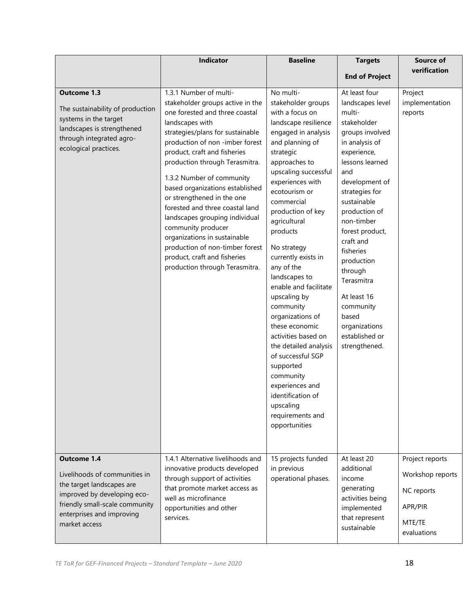|                                                                                                                                                                                          | Indicator                                                                                                                                                                                                                                                                                                                                                                                                                                                                                                                                                    | <b>Baseline</b>                                                                                                                                                                                                                                                                                                                                                                                                                                                                                                                                                                                                             | <b>Targets</b>                                                                                                                                                                                                                                                                                                                                                                         | Source of                                                                             |
|------------------------------------------------------------------------------------------------------------------------------------------------------------------------------------------|--------------------------------------------------------------------------------------------------------------------------------------------------------------------------------------------------------------------------------------------------------------------------------------------------------------------------------------------------------------------------------------------------------------------------------------------------------------------------------------------------------------------------------------------------------------|-----------------------------------------------------------------------------------------------------------------------------------------------------------------------------------------------------------------------------------------------------------------------------------------------------------------------------------------------------------------------------------------------------------------------------------------------------------------------------------------------------------------------------------------------------------------------------------------------------------------------------|----------------------------------------------------------------------------------------------------------------------------------------------------------------------------------------------------------------------------------------------------------------------------------------------------------------------------------------------------------------------------------------|---------------------------------------------------------------------------------------|
|                                                                                                                                                                                          |                                                                                                                                                                                                                                                                                                                                                                                                                                                                                                                                                              |                                                                                                                                                                                                                                                                                                                                                                                                                                                                                                                                                                                                                             | <b>End of Project</b>                                                                                                                                                                                                                                                                                                                                                                  | verification                                                                          |
| The sustainability of production<br>systems in the target<br>landscapes is strengthened<br>through integrated agro-<br>ecological practices.                                             | stakeholder groups active in the<br>one forested and three coastal<br>landscapes with<br>strategies/plans for sustainable<br>production of non -imber forest<br>product, craft and fisheries<br>production through Terasmitra.<br>1.3.2 Number of community<br>based organizations established<br>or strengthened in the one<br>forested and three coastal land<br>landscapes grouping individual<br>community producer<br>organizations in sustainable<br>production of non-timber forest<br>product, craft and fisheries<br>production through Terasmitra. | stakeholder groups<br>with a focus on<br>landscape resilience<br>engaged in analysis<br>and planning of<br>strategic<br>approaches to<br>upscaling successful<br>experiences with<br>ecotourism or<br>commercial<br>production of key<br>agricultural<br>products<br>No strategy<br>currently exists in<br>any of the<br>landscapes to<br>enable and facilitate<br>upscaling by<br>community<br>organizations of<br>these economic<br>activities based on<br>the detailed analysis<br>of successful SGP<br>supported<br>community<br>experiences and<br>identification of<br>upscaling<br>requirements and<br>opportunities | landscapes level<br>multi-<br>stakeholder<br>groups involved<br>in analysis of<br>experience,<br>lessons learned<br>and<br>development of<br>strategies for<br>sustainable<br>production of<br>non-timber<br>forest product,<br>craft and<br>fisheries<br>production<br>through<br>Terasmitra<br>At least 16<br>community<br>based<br>organizations<br>established or<br>strengthened. | implementation<br>reports                                                             |
| Outcome 1.4<br>Livelihoods of communities in<br>the target landscapes are<br>improved by developing eco-<br>friendly small-scale community<br>enterprises and improving<br>market access | 1.4.1 Alternative livelihoods and<br>innovative products developed<br>through support of activities<br>that promote market access as<br>well as microfinance<br>opportunities and other<br>services.                                                                                                                                                                                                                                                                                                                                                         | 15 projects funded<br>in previous<br>operational phases.                                                                                                                                                                                                                                                                                                                                                                                                                                                                                                                                                                    | At least 20<br>additional<br>income<br>generating<br>activities being<br>implemented<br>that represent<br>sustainable                                                                                                                                                                                                                                                                  | Project reports<br>Workshop reports<br>NC reports<br>APR/PIR<br>MTE/TE<br>evaluations |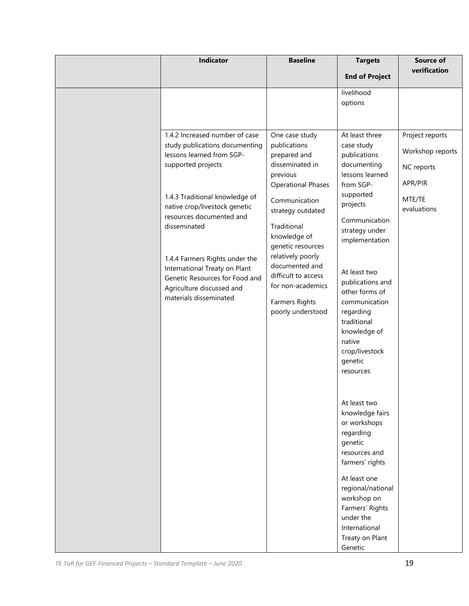| Indicator                                                                                                                                                                                                                                                                                                                                                                                      | <b>Baseline</b>                                                                                                                                                                                                                                                                                                                | <b>Targets</b>                                                                                                                                                                                                                                                                                                     | Source of                                                                             |
|------------------------------------------------------------------------------------------------------------------------------------------------------------------------------------------------------------------------------------------------------------------------------------------------------------------------------------------------------------------------------------------------|--------------------------------------------------------------------------------------------------------------------------------------------------------------------------------------------------------------------------------------------------------------------------------------------------------------------------------|--------------------------------------------------------------------------------------------------------------------------------------------------------------------------------------------------------------------------------------------------------------------------------------------------------------------|---------------------------------------------------------------------------------------|
|                                                                                                                                                                                                                                                                                                                                                                                                |                                                                                                                                                                                                                                                                                                                                | <b>End of Project</b>                                                                                                                                                                                                                                                                                              | verification                                                                          |
| 1.4.2 Increased number of case<br>study publications documenting<br>lessons learned from SGP-<br>supported projects<br>1.4.3 Traditional knowledge of<br>native crop/livestock genetic<br>resources documented and<br>disseminated<br>1.4.4 Farmers Rights under the<br>International Treaty on Plant<br>Genetic Resources for Food and<br>Agriculture discussed and<br>materials disseminated | One case study<br>publications<br>prepared and<br>disseminated in<br>previous<br><b>Operational Phases</b><br>Communication<br>strategy outdated<br>Traditional<br>knowledge of<br>genetic resources<br>relatively poorly<br>documented and<br>difficult to access<br>for non-academics<br>Farmers Rights<br>poorly understood | livelihood<br>options<br>At least three<br>case study<br>publications<br>documenting<br>lessons learned<br>from SGP-<br>supported<br>projects<br>Communication<br>strategy under<br>implementation<br>At least two<br>publications and<br>other forms of<br>communication<br>regarding<br>traditional              | Project reports<br>Workshop reports<br>NC reports<br>APR/PIR<br>MTE/TE<br>evaluations |
|                                                                                                                                                                                                                                                                                                                                                                                                |                                                                                                                                                                                                                                                                                                                                | knowledge of<br>native<br>crop/livestock<br>genetic<br>resources<br>At least two<br>knowledge fairs<br>or workshops<br>regarding<br>genetic<br>resources and<br>farmers' rights<br>At least one<br>regional/national<br>workshop on<br>Farmers' Rights<br>under the<br>International<br>Treaty on Plant<br>Genetic |                                                                                       |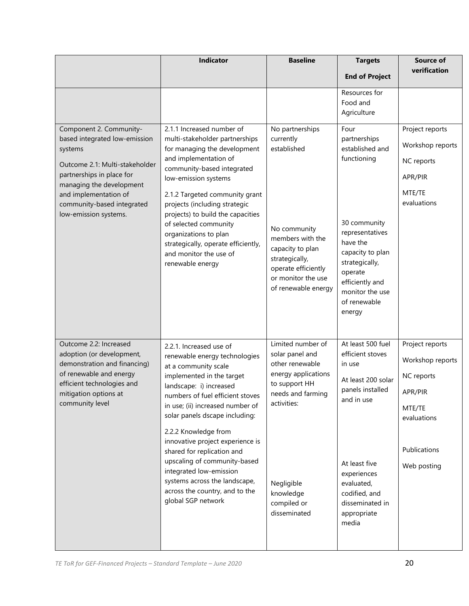|                                                                                                                                                                                                                                                | Indicator                                                                                                                                                                                                                                                                                                                                                                                                                                                                                        | <b>Baseline</b>                                                                                                                                                                               | <b>Targets</b>                                                                                                                                                                                                         | Source of                                                                                                            |
|------------------------------------------------------------------------------------------------------------------------------------------------------------------------------------------------------------------------------------------------|--------------------------------------------------------------------------------------------------------------------------------------------------------------------------------------------------------------------------------------------------------------------------------------------------------------------------------------------------------------------------------------------------------------------------------------------------------------------------------------------------|-----------------------------------------------------------------------------------------------------------------------------------------------------------------------------------------------|------------------------------------------------------------------------------------------------------------------------------------------------------------------------------------------------------------------------|----------------------------------------------------------------------------------------------------------------------|
|                                                                                                                                                                                                                                                |                                                                                                                                                                                                                                                                                                                                                                                                                                                                                                  |                                                                                                                                                                                               | <b>End of Project</b>                                                                                                                                                                                                  | verification                                                                                                         |
|                                                                                                                                                                                                                                                |                                                                                                                                                                                                                                                                                                                                                                                                                                                                                                  |                                                                                                                                                                                               | Resources for<br>Food and<br>Agriculture                                                                                                                                                                               |                                                                                                                      |
| Component 2. Community-<br>based integrated low-emission<br>systems<br>Outcome 2.1: Multi-stakeholder<br>partnerships in place for<br>managing the development<br>and implementation of<br>community-based integrated<br>low-emission systems. | 2.1.1 Increased number of<br>multi-stakeholder partnerships<br>for managing the development<br>and implementation of<br>community-based integrated<br>low-emission systems<br>2.1.2 Targeted community grant<br>projects (including strategic<br>projects) to build the capacities<br>of selected community<br>organizations to plan<br>strategically, operate efficiently,<br>and monitor the use of<br>renewable energy                                                                        | No partnerships<br>currently<br>established<br>No community<br>members with the<br>capacity to plan<br>strategically,<br>operate efficiently<br>or monitor the use<br>of renewable energy     | Four<br>partnerships<br>established and<br>functioning<br>30 community<br>representatives<br>have the<br>capacity to plan<br>strategically,<br>operate<br>efficiently and<br>monitor the use<br>of renewable<br>energy | Project reports<br>Workshop reports<br>NC reports<br>APR/PIR<br>MTE/TE<br>evaluations                                |
| Outcome 2.2: Increased<br>adoption (or development,<br>demonstration and financing)<br>of renewable and energy<br>efficient technologies and<br>mitigation options at<br>community level                                                       | 2.2.1. Increased use of<br>renewable energy technologies<br>at a community scale<br>implemented in the target<br>landscape: i) increased<br>numbers of fuel efficient stoves<br>in use; (ii) increased number of<br>solar panels dscape including:<br>2.2.2 Knowledge from<br>innovative project experience is<br>shared for replication and<br>upscaling of community-based<br>integrated low-emission<br>systems across the landscape,<br>across the country, and to the<br>global SGP network | Limited number of<br>solar panel and<br>other renewable<br>energy applications<br>to support HH<br>needs and farming<br>activities:<br>Negligible<br>knowledge<br>compiled or<br>disseminated | At least 500 fuel<br>efficient stoves<br>in use<br>At least 200 solar<br>panels installed<br>and in use<br>At least five<br>experiences<br>evaluated,<br>codified, and<br>disseminated in<br>appropriate<br>media      | Project reports<br>Workshop reports<br>NC reports<br>APR/PIR<br>MTE/TE<br>evaluations<br>Publications<br>Web posting |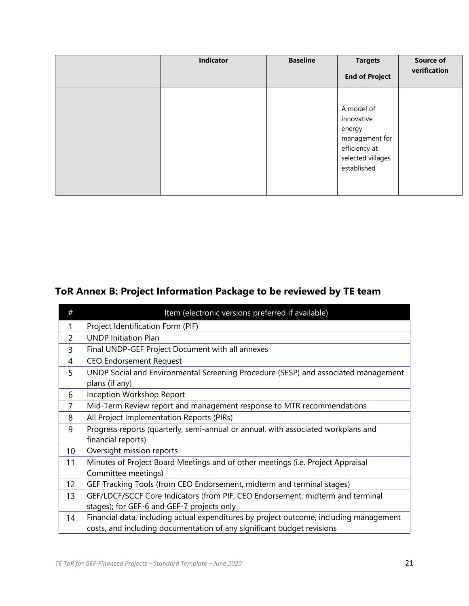| <b>Indicator</b> | <b>Baseline</b> | <b>Targets</b><br><b>End of Project</b>                                                                   | <b>Source of</b><br>verification |
|------------------|-----------------|-----------------------------------------------------------------------------------------------------------|----------------------------------|
|                  |                 | A model of<br>innovative<br>energy<br>management for<br>efficiency at<br>selected villages<br>established |                                  |

# **ToR Annex B: Project Information Package to be reviewed by TE team**

| #  | Item (electronic versions preferred if available)                                      |
|----|----------------------------------------------------------------------------------------|
|    | Project Identification Form (PIF)                                                      |
| 2  | <b>UNDP Initiation Plan</b>                                                            |
| 3  | Final UNDP-GEF Project Document with all annexes                                       |
| 4  | <b>CEO Endorsement Request</b>                                                         |
| 5  | UNDP Social and Environmental Screening Procedure (SESP) and associated management     |
|    | plans (if any)                                                                         |
| 6  | Inception Workshop Report                                                              |
| 7  | Mid-Term Review report and management response to MTR recommendations                  |
| 8  | All Project Implementation Reports (PIRs)                                              |
| 9  | Progress reports (quarterly, semi-annual or annual, with associated workplans and      |
|    | financial reports)                                                                     |
| 10 | Oversight mission reports                                                              |
| 11 | Minutes of Project Board Meetings and of other meetings (i.e. Project Appraisal        |
|    | Committee meetings)                                                                    |
| 12 | GEF Tracking Tools (from CEO Endorsement, midterm and terminal stages)                 |
| 13 | GEF/LDCF/SCCF Core Indicators (from PIF, CEO Endorsement, midterm and terminal         |
|    | stages); for GEF-6 and GEF-7 projects only                                             |
| 14 | Financial data, including actual expenditures by project outcome, including management |
|    | costs, and including documentation of any significant budget revisions                 |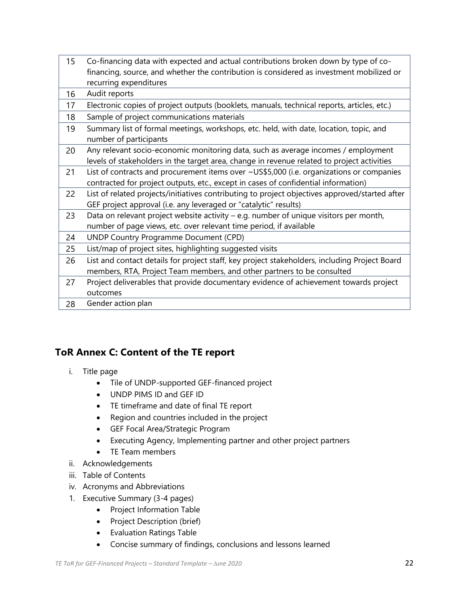| 15 | Co-financing data with expected and actual contributions broken down by type of co-                                                                                             |
|----|---------------------------------------------------------------------------------------------------------------------------------------------------------------------------------|
|    | financing, source, and whether the contribution is considered as investment mobilized or                                                                                        |
|    | recurring expenditures                                                                                                                                                          |
| 16 | Audit reports                                                                                                                                                                   |
| 17 | Electronic copies of project outputs (booklets, manuals, technical reports, articles, etc.)                                                                                     |
| 18 | Sample of project communications materials                                                                                                                                      |
| 19 | Summary list of formal meetings, workshops, etc. held, with date, location, topic, and<br>number of participants                                                                |
| 20 | Any relevant socio-economic monitoring data, such as average incomes / employment<br>levels of stakeholders in the target area, change in revenue related to project activities |
| 21 | List of contracts and procurement items over ~US\$5,000 (i.e. organizations or companies<br>contracted for project outputs, etc., except in cases of confidential information)  |
| 22 | List of related projects/initiatives contributing to project objectives approved/started after<br>GEF project approval (i.e. any leveraged or "catalytic" results)              |
| 23 | Data on relevant project website activity - e.g. number of unique visitors per month,<br>number of page views, etc. over relevant time period, if available                     |
| 24 | <b>UNDP Country Programme Document (CPD)</b>                                                                                                                                    |
| 25 | List/map of project sites, highlighting suggested visits                                                                                                                        |
| 26 | List and contact details for project staff, key project stakeholders, including Project Board<br>members, RTA, Project Team members, and other partners to be consulted         |
| 27 | Project deliverables that provide documentary evidence of achievement towards project<br>outcomes                                                                               |
| 28 | Gender action plan                                                                                                                                                              |

## **ToR Annex C: Content of the TE report**

- i. Title page
	- Tile of UNDP-supported GEF-financed project
	- UNDP PIMS ID and GEF ID
	- TE timeframe and date of final TE report
	- Region and countries included in the project
	- GEF Focal Area/Strategic Program
	- Executing Agency, Implementing partner and other project partners
	- TE Team members
- ii. Acknowledgements
- iii. Table of Contents
- iv. Acronyms and Abbreviations
- 1. Executive Summary (3-4 pages)
	- Project Information Table
	- Project Description (brief)
	- Evaluation Ratings Table
	- Concise summary of findings, conclusions and lessons learned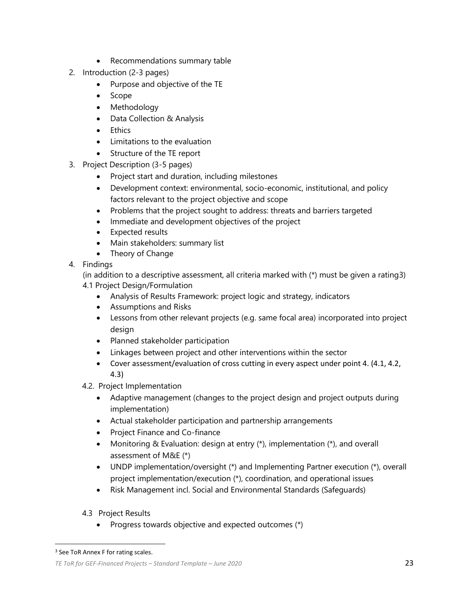- Recommendations summary table
- 2. Introduction (2-3 pages)
	- Purpose and objective of the TE
	- Scope
	- Methodology
	- Data Collection & Analysis
	- Ethics
	- Limitations to the evaluation
	- Structure of the TE report
- 3. Project Description (3-5 pages)
	- Project start and duration, including milestones
	- Development context: environmental, socio-economic, institutional, and policy factors relevant to the project objective and scope
	- Problems that the project sought to address: threats and barriers targeted
	- Immediate and development objectives of the project
	- Expected results
	- Main stakeholders: summary list
	- Theory of Change
- 4. Findings

(in addition to a descriptive assessment, all criteria marked with  $(*)$  must be given a rating3)

- 4.1 Project Design/Formulation
	- Analysis of Results Framework: project logic and strategy, indicators
	- Assumptions and Risks
	- Lessons from other relevant projects (e.g. same focal area) incorporated into project design
	- Planned stakeholder participation
	- Linkages between project and other interventions within the sector
	- Cover assessment/evaluation of cross cutting in every aspect under point 4. (4.1, 4.2, 4.3)
- 4.2. Project Implementation
	- Adaptive management (changes to the project design and project outputs during implementation)
	- Actual stakeholder participation and partnership arrangements
	- Project Finance and Co-finance
	- Monitoring & Evaluation: design at entry (\*), implementation (\*), and overall assessment of M&E (\*)
	- UNDP implementation/oversight (\*) and Implementing Partner execution (\*), overall project implementation/execution (\*), coordination, and operational issues
	- Risk Management incl. Social and Environmental Standards (Safeguards)
- 4.3 Project Results
	- Progress towards objective and expected outcomes (\*)

<sup>&</sup>lt;sup>3</sup> See ToR Annex F for rating scales.

*TE ToR for GEF-Financed Projects – Standard Template – June 2020* 23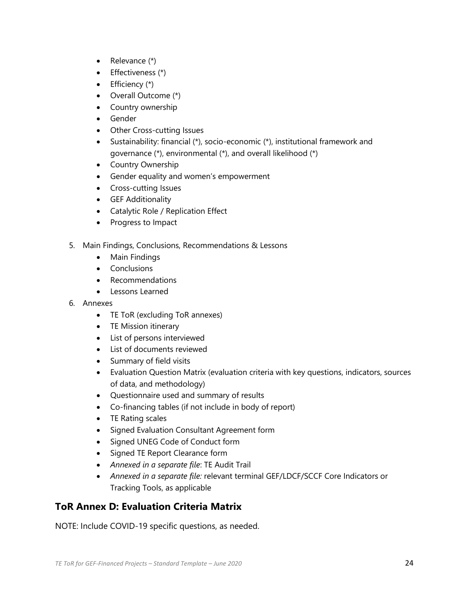- Relevance (\*)
- Effectiveness (\*)
- Efficiency (\*)
- Overall Outcome (\*)
- Country ownership
- Gender
- Other Cross-cutting Issues
- Sustainability: financial (\*), socio-economic (\*), institutional framework and governance (\*), environmental (\*), and overall likelihood (\*)
- Country Ownership
- Gender equality and women's empowerment
- Cross-cutting Issues
- GEF Additionality
- Catalytic Role / Replication Effect
- Progress to Impact
- 5. Main Findings, Conclusions, Recommendations & Lessons
	- Main Findings
	- Conclusions
	- Recommendations
	- Lessons Learned
- 6. Annexes
	- TE ToR (excluding ToR annexes)
	- TE Mission itinerary
	- List of persons interviewed
	- List of documents reviewed
	- Summary of field visits
	- Evaluation Question Matrix (evaluation criteria with key questions, indicators, sources of data, and methodology)
	- Questionnaire used and summary of results
	- Co-financing tables (if not include in body of report)
	- TE Rating scales
	- Signed Evaluation Consultant Agreement form
	- Signed UNEG Code of Conduct form
	- Signed TE Report Clearance form
	- *Annexed in a separate file*: TE Audit Trail
	- *Annexed in a separate file:* relevant terminal GEF/LDCF/SCCF Core Indicators or Tracking Tools, as applicable

## **ToR Annex D: Evaluation Criteria Matrix**

NOTE: Include COVID-19 specific questions, as needed.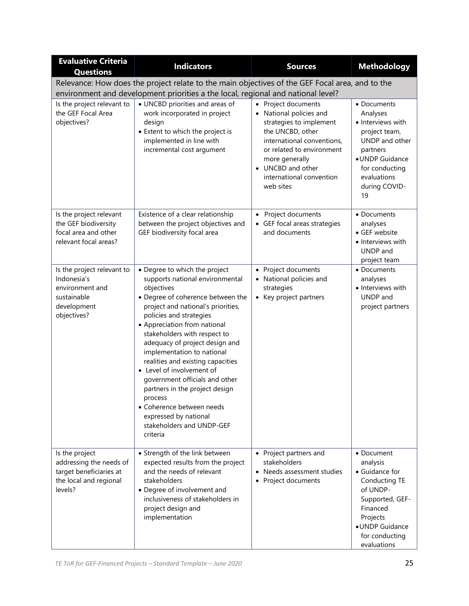| <b>Evaluative Criteria</b><br><b>Questions</b>                                                            | <b>Indicators</b>                                                                                                                                                                                                                                                                                                                                                                                                                                                                                                                                                    | <b>Sources</b>                                                                                                                                                                                                                           | <b>Methodology</b>                                                                                                                                                     |
|-----------------------------------------------------------------------------------------------------------|----------------------------------------------------------------------------------------------------------------------------------------------------------------------------------------------------------------------------------------------------------------------------------------------------------------------------------------------------------------------------------------------------------------------------------------------------------------------------------------------------------------------------------------------------------------------|------------------------------------------------------------------------------------------------------------------------------------------------------------------------------------------------------------------------------------------|------------------------------------------------------------------------------------------------------------------------------------------------------------------------|
|                                                                                                           | Relevance: How does the project relate to the main objectives of the GEF Focal area, and to the                                                                                                                                                                                                                                                                                                                                                                                                                                                                      |                                                                                                                                                                                                                                          |                                                                                                                                                                        |
| Is the project relevant to<br>the GEF Focal Area<br>objectives?                                           | environment and development priorities a the local, regional and national level?<br>• UNCBD priorities and areas of<br>work incorporated in project<br>design<br>• Extent to which the project is<br>implemented in line with<br>incremental cost argument                                                                                                                                                                                                                                                                                                           | • Project documents<br>• National policies and<br>strategies to implement<br>the UNCBD, other<br>international conventions,<br>or related to environment<br>more generally<br>• UNCBD and other<br>international convention<br>web sites | • Documents<br>Analyses<br>• Interviews with<br>project team,<br>UNDP and other<br>partners<br>• UNDP Guidance<br>for conducting<br>evaluations<br>during COVID-<br>19 |
| Is the project relevant<br>the GEF biodiversity<br>focal area and other<br>relevant focal areas?          | Existence of a clear relationship<br>between the project objectives and<br>GEF biodiversity focal area                                                                                                                                                                                                                                                                                                                                                                                                                                                               | • Project documents<br>• GEF focal areas strategies<br>and documents                                                                                                                                                                     | • Documents<br>analyses<br>• GEF website<br>• Interviews with<br>UNDP and<br>project team                                                                              |
| Is the project relevant to<br>Indonesia's<br>environment and<br>sustainable<br>development<br>objectives? | • Degree to which the project<br>supports national environmental<br>objectives<br>• Degree of coherence between the<br>project and national's priorities,<br>policies and strategies<br>• Appreciation from national<br>stakeholders with respect to<br>adequacy of project design and<br>implementation to national<br>realities and existing capacities<br>• Level of involvement of<br>government officials and other<br>partners in the project design<br>process<br>• Coherence between needs<br>expressed by national<br>stakeholders and UNDP-GEF<br>criteria | • Project documents<br>• National policies and<br>strategies<br>• Key project partners                                                                                                                                                   | • Documents<br>analyses<br>• Interviews with<br>UNDP and<br>project partners                                                                                           |
| Is the project<br>addressing the needs of<br>target beneficiaries at<br>the local and regional<br>levels? | • Strength of the link between<br>expected results from the project<br>and the needs of relevant<br>stakeholders<br>• Degree of involvement and<br>inclusiveness of stakeholders in<br>project design and<br>implementation                                                                                                                                                                                                                                                                                                                                          | • Project partners and<br>stakeholders<br>• Needs assessment studies<br>• Project documents                                                                                                                                              | • Document<br>analysis<br>• Guidance for<br>Conducting TE<br>of UNDP-<br>Supported, GEF-<br>Financed<br>Projects<br>• UNDP Guidance<br>for conducting<br>evaluations   |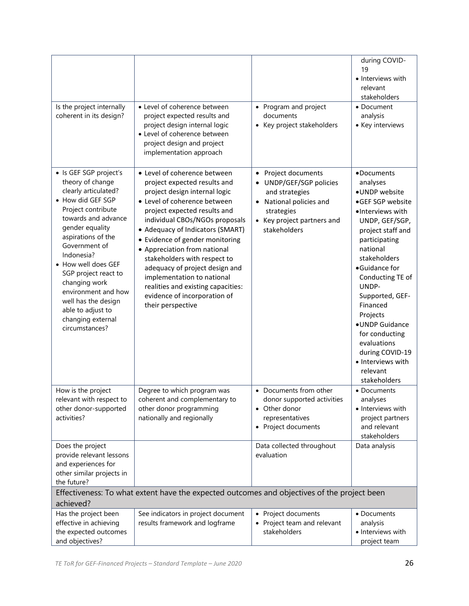| Is the project internally<br>coherent in its design?                                                                                                                                                                                                                                                                                                                                   | • Level of coherence between<br>project expected results and<br>project design internal logic<br>• Level of coherence between<br>project design and project<br>implementation approach                                                                                                                                                                                                                                                                                                            | • Program and project<br>documents<br>• Key project stakeholders                                                                                                 | during COVID-<br>19<br>• Interviews with<br>relevant<br>stakeholders<br>• Document<br>analysis<br>• Key interviews                                                                                                                                                                                                                                                                   |
|----------------------------------------------------------------------------------------------------------------------------------------------------------------------------------------------------------------------------------------------------------------------------------------------------------------------------------------------------------------------------------------|---------------------------------------------------------------------------------------------------------------------------------------------------------------------------------------------------------------------------------------------------------------------------------------------------------------------------------------------------------------------------------------------------------------------------------------------------------------------------------------------------|------------------------------------------------------------------------------------------------------------------------------------------------------------------|--------------------------------------------------------------------------------------------------------------------------------------------------------------------------------------------------------------------------------------------------------------------------------------------------------------------------------------------------------------------------------------|
| · Is GEF SGP project's<br>theory of change<br>clearly articulated?<br>• How did GEF SGP<br>Project contribute<br>towards and advance<br>gender equality<br>aspirations of the<br>Government of<br>Indonesia?<br>• How well does GEF<br>SGP project react to<br>changing work<br>environment and how<br>well has the design<br>able to adjust to<br>changing external<br>circumstances? | • Level of coherence between<br>project expected results and<br>project design internal logic<br>• Level of coherence between<br>project expected results and<br>individual CBOs/NGOs proposals<br>• Adequacy of Indicators (SMART)<br>• Evidence of gender monitoring<br>• Appreciation from national<br>stakeholders with respect to<br>adequacy of project design and<br>implementation to national<br>realities and existing capacities:<br>evidence of incorporation of<br>their perspective | • Project documents<br>UNDP/GEF/SGP policies<br>and strategies<br>National policies and<br>$\bullet$<br>strategies<br>• Key project partners and<br>stakeholders | •Documents<br>analyses<br>•UNDP website<br>•GEF SGP website<br>·Interviews with<br>UNDP, GEF/SGP,<br>project staff and<br>participating<br>national<br>stakeholders<br>•Guidance for<br>Conducting TE of<br>UNDP-<br>Supported, GEF-<br>Financed<br>Projects<br>· UNDP Guidance<br>for conducting<br>evaluations<br>during COVID-19<br>• Interviews with<br>relevant<br>stakeholders |
| How is the project<br>relevant with respect to<br>other donor-supported<br>activities?                                                                                                                                                                                                                                                                                                 | Degree to which program was<br>coherent and complementary to<br>other donor programming<br>nationally and regionally                                                                                                                                                                                                                                                                                                                                                                              | • Documents from other<br>donor supported activities<br>• Other donor<br>representatives<br>• Project documents                                                  | • Documents<br>analyses<br>• Interviews with<br>project partners<br>and relevant<br>stakeholders                                                                                                                                                                                                                                                                                     |
| Does the project<br>provide relevant lessons<br>and experiences for<br>other similar projects in<br>the future?                                                                                                                                                                                                                                                                        |                                                                                                                                                                                                                                                                                                                                                                                                                                                                                                   | Data collected throughout<br>evaluation                                                                                                                          | Data analysis                                                                                                                                                                                                                                                                                                                                                                        |
| achieved?                                                                                                                                                                                                                                                                                                                                                                              | Effectiveness: To what extent have the expected outcomes and objectives of the project been                                                                                                                                                                                                                                                                                                                                                                                                       |                                                                                                                                                                  |                                                                                                                                                                                                                                                                                                                                                                                      |
| Has the project been<br>effective in achieving<br>the expected outcomes<br>and objectives?                                                                                                                                                                                                                                                                                             | See indicators in project document<br>results framework and logframe                                                                                                                                                                                                                                                                                                                                                                                                                              | • Project documents<br>• Project team and relevant<br>stakeholders                                                                                               | • Documents<br>analysis<br>· Interviews with<br>project team                                                                                                                                                                                                                                                                                                                         |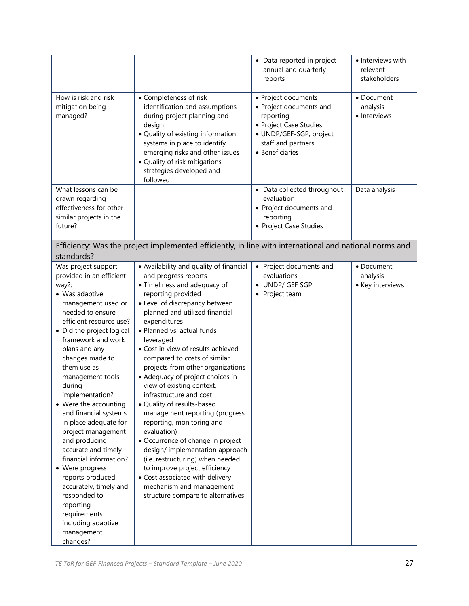|                                                                                                                                                                                                                                                                                                                                                                                                                                                                                                                                                                                                                                         |                                                                                                                                                                                                                                                                                                                                                                                                                                                                                                                                                                                                                                                                                                                                                                                                                         | • Data reported in project<br>annual and quarterly<br>reports                                                                                             | • Interviews with<br>relevant<br>stakeholders |
|-----------------------------------------------------------------------------------------------------------------------------------------------------------------------------------------------------------------------------------------------------------------------------------------------------------------------------------------------------------------------------------------------------------------------------------------------------------------------------------------------------------------------------------------------------------------------------------------------------------------------------------------|-------------------------------------------------------------------------------------------------------------------------------------------------------------------------------------------------------------------------------------------------------------------------------------------------------------------------------------------------------------------------------------------------------------------------------------------------------------------------------------------------------------------------------------------------------------------------------------------------------------------------------------------------------------------------------------------------------------------------------------------------------------------------------------------------------------------------|-----------------------------------------------------------------------------------------------------------------------------------------------------------|-----------------------------------------------|
| How is risk and risk<br>mitigation being<br>managed?                                                                                                                                                                                                                                                                                                                                                                                                                                                                                                                                                                                    | • Completeness of risk<br>identification and assumptions<br>during project planning and<br>design<br>• Quality of existing information<br>systems in place to identify<br>emerging risks and other issues<br>· Quality of risk mitigations<br>strategies developed and<br>followed                                                                                                                                                                                                                                                                                                                                                                                                                                                                                                                                      | • Project documents<br>• Project documents and<br>reporting<br>• Project Case Studies<br>· UNDP/GEF-SGP, project<br>staff and partners<br>• Beneficiaries | • Document<br>analysis<br>• Interviews        |
| What lessons can be<br>drawn regarding<br>effectiveness for other<br>similar projects in the<br>future?                                                                                                                                                                                                                                                                                                                                                                                                                                                                                                                                 |                                                                                                                                                                                                                                                                                                                                                                                                                                                                                                                                                                                                                                                                                                                                                                                                                         | • Data collected throughout<br>evaluation<br>• Project documents and<br>reporting<br>• Project Case Studies                                               | Data analysis                                 |
| standards?                                                                                                                                                                                                                                                                                                                                                                                                                                                                                                                                                                                                                              | Efficiency: Was the project implemented efficiently, in line with international and national norms and                                                                                                                                                                                                                                                                                                                                                                                                                                                                                                                                                                                                                                                                                                                  |                                                                                                                                                           |                                               |
| Was project support<br>provided in an efficient<br>way?:<br>• Was adaptive<br>management used or<br>needed to ensure<br>efficient resource use?<br>• Did the project logical<br>framework and work<br>plans and any<br>changes made to<br>them use as<br>management tools<br>during<br>implementation?<br>• Were the accounting<br>and financial systems<br>in place adequate for<br>project management<br>and producing<br>accurate and timely<br>financial information?<br>• Were progress<br>reports produced<br>accurately, timely and<br>responded to<br>reporting<br>requirements<br>including adaptive<br>management<br>changes? | • Availability and quality of financial<br>and progress reports<br>• Timeliness and adequacy of<br>reporting provided<br>• Level of discrepancy between<br>planned and utilized financial<br>expenditures<br>· Planned vs. actual funds<br>leveraged<br>• Cost in view of results achieved<br>compared to costs of similar<br>projects from other organizations<br>• Adequacy of project choices in<br>view of existing context,<br>infrastructure and cost<br>• Quality of results-based<br>management reporting (progress<br>reporting, monitoring and<br>evaluation)<br>• Occurrence of change in project<br>design/implementation approach<br>(i.e. restructuring) when needed<br>to improve project efficiency<br>• Cost associated with delivery<br>mechanism and management<br>structure compare to alternatives | • Project documents and<br>evaluations<br>• UNDP/ GEF SGP<br>• Project team                                                                               | • Document<br>analysis<br>• Key interviews    |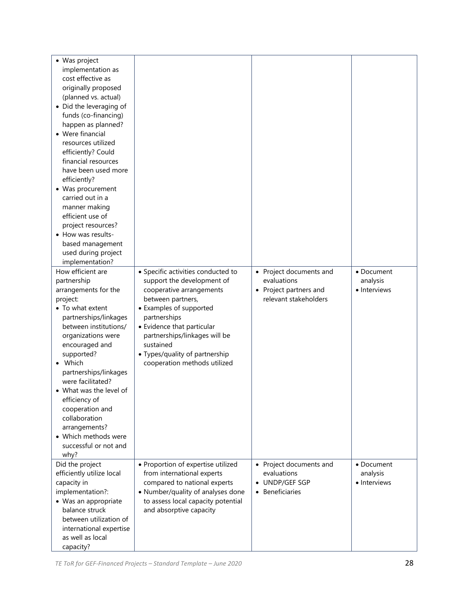| • Was project<br>implementation as         |                                                                |                         |              |
|--------------------------------------------|----------------------------------------------------------------|-------------------------|--------------|
| cost effective as                          |                                                                |                         |              |
|                                            |                                                                |                         |              |
| originally proposed                        |                                                                |                         |              |
| (planned vs. actual)                       |                                                                |                         |              |
| • Did the leveraging of                    |                                                                |                         |              |
| funds (co-financing)                       |                                                                |                         |              |
| happen as planned?                         |                                                                |                         |              |
| • Were financial                           |                                                                |                         |              |
| resources utilized                         |                                                                |                         |              |
| efficiently? Could                         |                                                                |                         |              |
| financial resources                        |                                                                |                         |              |
| have been used more                        |                                                                |                         |              |
| efficiently?                               |                                                                |                         |              |
| • Was procurement                          |                                                                |                         |              |
| carried out in a                           |                                                                |                         |              |
| manner making                              |                                                                |                         |              |
| efficient use of                           |                                                                |                         |              |
| project resources?                         |                                                                |                         |              |
| • How was results-                         |                                                                |                         |              |
| based management                           |                                                                |                         |              |
| used during project                        |                                                                |                         |              |
| implementation?                            |                                                                |                         |              |
| How efficient are                          | • Specific activities conducted to                             | • Project documents and | • Document   |
| partnership                                | support the development of                                     | evaluations             | analysis     |
| arrangements for the                       | cooperative arrangements                                       | • Project partners and  | • Interviews |
| project:                                   | between partners,                                              | relevant stakeholders   |              |
| • To what extent                           | • Examples of supported                                        |                         |              |
| partnerships/linkages                      | partnerships                                                   |                         |              |
| between institutions/                      | • Evidence that particular                                     |                         |              |
| organizations were                         | partnerships/linkages will be<br>sustained                     |                         |              |
| encouraged and                             |                                                                |                         |              |
| supported?<br>• Which                      | • Types/quality of partnership<br>cooperation methods utilized |                         |              |
|                                            |                                                                |                         |              |
| partnerships/linkages<br>were facilitated? |                                                                |                         |              |
| • What was the level of                    |                                                                |                         |              |
| efficiency of                              |                                                                |                         |              |
| cooperation and                            |                                                                |                         |              |
| collaboration                              |                                                                |                         |              |
| arrangements?                              |                                                                |                         |              |
| • Which methods were                       |                                                                |                         |              |
| successful or not and                      |                                                                |                         |              |
| why?                                       |                                                                |                         |              |
| Did the project                            | · Proportion of expertise utilized                             | • Project documents and | • Document   |
| efficiently utilize local                  | from international experts                                     | evaluations             | analysis     |
| capacity in                                | compared to national experts                                   | • UNDP/GEF SGP          | • Interviews |
| implementation?:                           | • Number/quality of analyses done                              | • Beneficiaries         |              |
| • Was an appropriate                       | to assess local capacity potential                             |                         |              |
| balance struck                             | and absorptive capacity                                        |                         |              |
| between utilization of                     |                                                                |                         |              |
| international expertise                    |                                                                |                         |              |
| as well as local                           |                                                                |                         |              |
| capacity?                                  |                                                                |                         |              |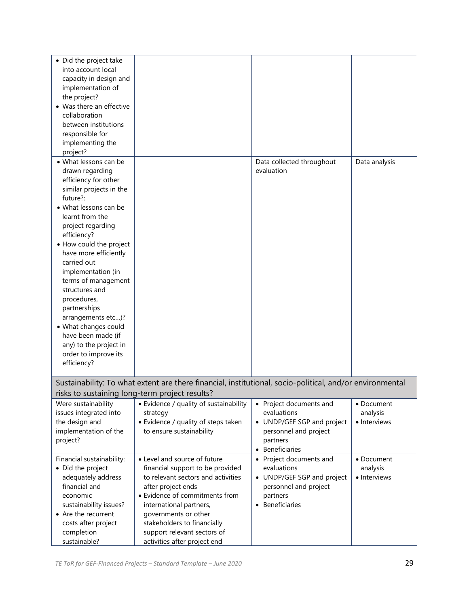| • Did the project take    |                                                                                                          |                            |               |
|---------------------------|----------------------------------------------------------------------------------------------------------|----------------------------|---------------|
| into account local        |                                                                                                          |                            |               |
| capacity in design and    |                                                                                                          |                            |               |
| implementation of         |                                                                                                          |                            |               |
| the project?              |                                                                                                          |                            |               |
| • Was there an effective  |                                                                                                          |                            |               |
| collaboration             |                                                                                                          |                            |               |
| between institutions      |                                                                                                          |                            |               |
| responsible for           |                                                                                                          |                            |               |
| implementing the          |                                                                                                          |                            |               |
| project?                  |                                                                                                          |                            |               |
| • What lessons can be     |                                                                                                          | Data collected throughout  | Data analysis |
| drawn regarding           |                                                                                                          | evaluation                 |               |
| efficiency for other      |                                                                                                          |                            |               |
| similar projects in the   |                                                                                                          |                            |               |
| future?:                  |                                                                                                          |                            |               |
| • What lessons can be     |                                                                                                          |                            |               |
| learnt from the           |                                                                                                          |                            |               |
| project regarding         |                                                                                                          |                            |               |
| efficiency?               |                                                                                                          |                            |               |
| • How could the project   |                                                                                                          |                            |               |
| have more efficiently     |                                                                                                          |                            |               |
| carried out               |                                                                                                          |                            |               |
| implementation (in        |                                                                                                          |                            |               |
| terms of management       |                                                                                                          |                            |               |
| structures and            |                                                                                                          |                            |               |
| procedures,               |                                                                                                          |                            |               |
| partnerships              |                                                                                                          |                            |               |
| arrangements etc)?        |                                                                                                          |                            |               |
| • What changes could      |                                                                                                          |                            |               |
| have been made (if        |                                                                                                          |                            |               |
| any) to the project in    |                                                                                                          |                            |               |
| order to improve its      |                                                                                                          |                            |               |
| efficiency?               |                                                                                                          |                            |               |
|                           |                                                                                                          |                            |               |
|                           | Sustainability: To what extent are there financial, institutional, socio-political, and/or environmental |                            |               |
|                           | risks to sustaining long-term project results?                                                           |                            |               |
| Were sustainability       | • Evidence / quality of sustainability                                                                   | • Project documents and    | • Document    |
| issues integrated into    | strategy                                                                                                 | evaluations                | analysis      |
| the design and            | • Evidence / quality of steps taken                                                                      | • UNDP/GEF SGP and project | · Interviews  |
| implementation of the     | to ensure sustainability                                                                                 | personnel and project      |               |
| project?                  |                                                                                                          | partners                   |               |
|                           |                                                                                                          | • Beneficiaries            |               |
| Financial sustainability: | • Level and source of future                                                                             | • Project documents and    | • Document    |
| • Did the project         | financial support to be provided                                                                         | evaluations                | analysis      |
| adequately address        | to relevant sectors and activities                                                                       | • UNDP/GEF SGP and project | • Interviews  |
| financial and             | after project ends                                                                                       | personnel and project      |               |
| economic                  | • Evidence of commitments from                                                                           | partners                   |               |
| sustainability issues?    | international partners,                                                                                  | • Beneficiaries            |               |
| • Are the recurrent       | governments or other                                                                                     |                            |               |
| costs after project       | stakeholders to financially                                                                              |                            |               |
| completion                | support relevant sectors of                                                                              |                            |               |
| sustainable?              | activities after project end                                                                             |                            |               |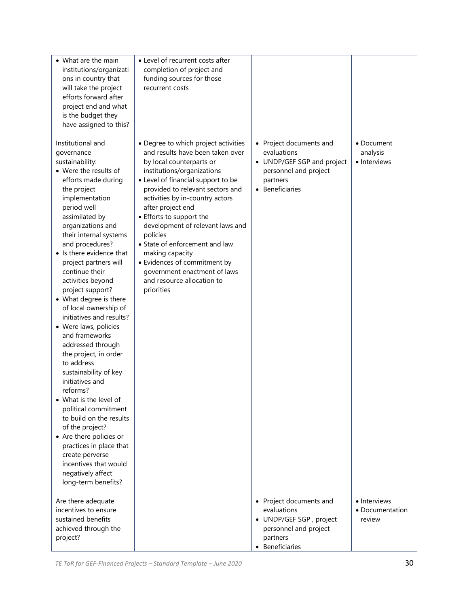| • What are the main<br>institutions/organizati<br>ons in country that<br>will take the project<br>efforts forward after<br>project end and what<br>is the budget they<br>have assigned to this?                                                                                                                                                                                                                                                                                                                                                                                                                                                                                                                                                                                                                                                    | • Level of recurrent costs after<br>completion of project and<br>funding sources for those<br>recurrent costs                                                                                                                                                                                                                                                                                                                                                                                                     |                                                                                                                              |                                           |
|----------------------------------------------------------------------------------------------------------------------------------------------------------------------------------------------------------------------------------------------------------------------------------------------------------------------------------------------------------------------------------------------------------------------------------------------------------------------------------------------------------------------------------------------------------------------------------------------------------------------------------------------------------------------------------------------------------------------------------------------------------------------------------------------------------------------------------------------------|-------------------------------------------------------------------------------------------------------------------------------------------------------------------------------------------------------------------------------------------------------------------------------------------------------------------------------------------------------------------------------------------------------------------------------------------------------------------------------------------------------------------|------------------------------------------------------------------------------------------------------------------------------|-------------------------------------------|
| Institutional and<br>governance<br>sustainability:<br>• Were the results of<br>efforts made during<br>the project<br>implementation<br>period well<br>assimilated by<br>organizations and<br>their internal systems<br>and procedures?<br>• Is there evidence that<br>project partners will<br>continue their<br>activities beyond<br>project support?<br>• What degree is there<br>of local ownership of<br>initiatives and results?<br>• Were laws, policies<br>and frameworks<br>addressed through<br>the project, in order<br>to address<br>sustainability of key<br>initiatives and<br>reforms?<br>• What is the level of<br>political commitment<br>to build on the results<br>of the project?<br>• Are there policies or<br>practices in place that<br>create perverse<br>incentives that would<br>negatively affect<br>long-term benefits? | • Degree to which project activities<br>and results have been taken over<br>by local counterparts or<br>institutions/organizations<br>• Level of financial support to be<br>provided to relevant sectors and<br>activities by in-country actors<br>after project end<br>• Efforts to support the<br>development of relevant laws and<br>policies<br>• State of enforcement and law<br>making capacity<br>• Evidences of commitment by<br>government enactment of laws<br>and resource allocation to<br>priorities | • Project documents and<br>evaluations<br>• UNDP/GEF SGP and project<br>personnel and project<br>partners<br>• Beneficiaries | • Document<br>analysis<br>• Interviews    |
| Are there adequate<br>incentives to ensure<br>sustained benefits<br>achieved through the<br>project?                                                                                                                                                                                                                                                                                                                                                                                                                                                                                                                                                                                                                                                                                                                                               |                                                                                                                                                                                                                                                                                                                                                                                                                                                                                                                   | • Project documents and<br>evaluations<br>• UNDP/GEF SGP, project<br>personnel and project<br>partners<br>• Beneficiaries    | • Interviews<br>· Documentation<br>review |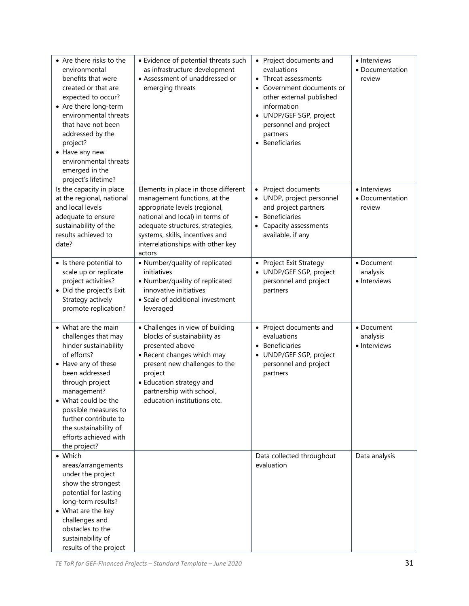| • Are there risks to the<br>environmental<br>benefits that were<br>created or that are<br>expected to occur?<br>• Are there long-term<br>environmental threats<br>that have not been                                                                                                                    | • Evidence of potential threats such<br>as infrastructure development<br>• Assessment of unaddressed or<br>emerging threats                                                                                                                                    | • Project documents and<br>evaluations<br>• Threat assessments<br>Government documents or<br>other external published<br>information<br>• UNDP/GEF SGP, project<br>personnel and project | • Interviews<br>• Documentation<br>review |
|---------------------------------------------------------------------------------------------------------------------------------------------------------------------------------------------------------------------------------------------------------------------------------------------------------|----------------------------------------------------------------------------------------------------------------------------------------------------------------------------------------------------------------------------------------------------------------|------------------------------------------------------------------------------------------------------------------------------------------------------------------------------------------|-------------------------------------------|
| addressed by the<br>project?<br>• Have any new<br>environmental threats<br>emerged in the<br>project's lifetime?                                                                                                                                                                                        |                                                                                                                                                                                                                                                                | partners<br>• Beneficiaries                                                                                                                                                              |                                           |
| Is the capacity in place<br>at the regional, national<br>and local levels<br>adequate to ensure<br>sustainability of the<br>results achieved to<br>date?                                                                                                                                                | Elements in place in those different<br>management functions, at the<br>appropriate levels (regional,<br>national and local) in terms of<br>adequate structures, strategies,<br>systems, skills, incentives and<br>interrelationships with other key<br>actors | Project documents<br>$\bullet$<br>UNDP, project personnel<br>and project partners<br><b>Beneficiaries</b><br>$\bullet$<br>Capacity assessments<br>available, if any                      | • Interviews<br>• Documentation<br>review |
| • Is there potential to<br>scale up or replicate<br>project activities?<br>• Did the project's Exit<br>Strategy actively<br>promote replication?                                                                                                                                                        | • Number/quality of replicated<br>initiatives<br>• Number/quality of replicated<br>innovative initiatives<br>• Scale of additional investment<br>leveraged                                                                                                     | • Project Exit Strategy<br>• UNDP/GEF SGP, project<br>personnel and project<br>partners                                                                                                  | • Document<br>analysis<br>• Interviews    |
| • What are the main<br>challenges that may<br>hinder sustainability<br>of efforts?<br>• Have any of these<br>been addressed<br>through project<br>management?<br>• What could be the<br>possible measures to<br>further contribute to<br>the sustainability of<br>efforts achieved with<br>the project? | • Challenges in view of building<br>blocks of sustainability as<br>presented above<br>• Recent changes which may<br>present new challenges to the<br>project<br>• Education strategy and<br>partnership with school,<br>education institutions etc.            | • Project documents and<br>evaluations<br>Beneficiaries<br>$\bullet$<br>• UNDP/GEF SGP, project<br>personnel and project<br>partners                                                     | • Document<br>analysis<br>• Interviews    |
| • Which<br>areas/arrangements<br>under the project<br>show the strongest<br>potential for lasting<br>long-term results?<br>• What are the key<br>challenges and<br>obstacles to the<br>sustainability of<br>results of the project                                                                      |                                                                                                                                                                                                                                                                | Data collected throughout<br>evaluation                                                                                                                                                  | Data analysis                             |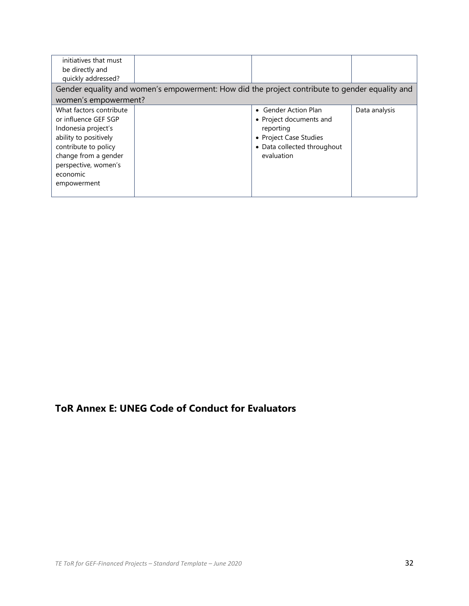| initiatives that must<br>be directly and<br>quickly addressed?                                                                                                                                     |                                                                                                |                                                                                                                                     |               |
|----------------------------------------------------------------------------------------------------------------------------------------------------------------------------------------------------|------------------------------------------------------------------------------------------------|-------------------------------------------------------------------------------------------------------------------------------------|---------------|
| women's empowerment?                                                                                                                                                                               | Gender equality and women's empowerment: How did the project contribute to gender equality and |                                                                                                                                     |               |
| What factors contribute<br>or influence GEF SGP<br>Indonesia project's<br>ability to positively<br>contribute to policy<br>change from a gender<br>perspective, women's<br>economic<br>empowerment |                                                                                                | • Gender Action Plan<br>• Project documents and<br>reporting<br>• Project Case Studies<br>• Data collected throughout<br>evaluation | Data analysis |

## **ToR Annex E: UNEG Code of Conduct for Evaluators**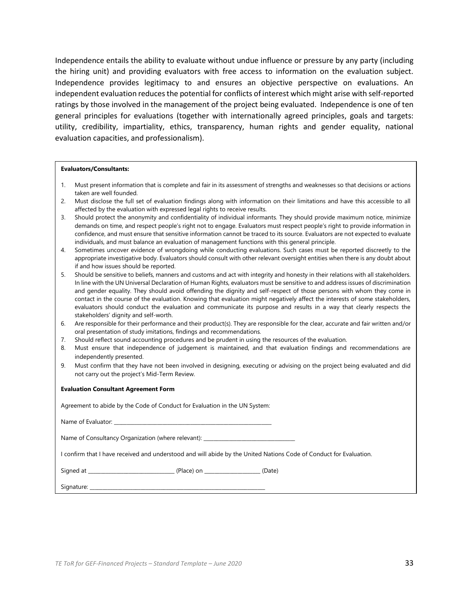Independence entails the ability to evaluate without undue influence or pressure by any party (including the hiring unit) and providing evaluators with free access to information on the evaluation subject. Independence provides legitimacy to and ensures an objective perspective on evaluations. An independent evaluation reduces the potential for conflicts of interest which might arise with self-reported ratings by those involved in the management of the project being evaluated. Independence is one of ten general principles for evaluations (together with internationally agreed principles, goals and targets: utility, credibility, impartiality, ethics, transparency, human rights and gender equality, national evaluation capacities, and professionalism).

#### **Evaluators/Consultants:**

- 1. Must present information that is complete and fair in its assessment of strengths and weaknesses so that decisions or actions taken are well founded.
- 2. Must disclose the full set of evaluation findings along with information on their limitations and have this accessible to all affected by the evaluation with expressed legal rights to receive results.
- 3. Should protect the anonymity and confidentiality of individual informants. They should provide maximum notice, minimize demands on time, and respect people's right not to engage. Evaluators must respect people's right to provide information in confidence, and must ensure that sensitive information cannot be traced to its source. Evaluators are not expected to evaluate individuals, and must balance an evaluation of management functions with this general principle.
- 4. Sometimes uncover evidence of wrongdoing while conducting evaluations. Such cases must be reported discreetly to the appropriate investigative body. Evaluators should consult with other relevant oversight entities when there is any doubt about if and how issues should be reported.
- 5. Should be sensitive to beliefs, manners and customs and act with integrity and honesty in their relations with all stakeholders. In line with the UN Universal Declaration of Human Rights, evaluators must be sensitive to and address issues of discrimination and gender equality. They should avoid offending the dignity and self-respect of those persons with whom they come in contact in the course of the evaluation. Knowing that evaluation might negatively affect the interests of some stakeholders, evaluators should conduct the evaluation and communicate its purpose and results in a way that clearly respects the stakeholders' dignity and self-worth.
- 6. Are responsible for their performance and their product(s). They are responsible for the clear, accurate and fair written and/or oral presentation of study imitations, findings and recommendations.
- 7. Should reflect sound accounting procedures and be prudent in using the resources of the evaluation.
- 8. Must ensure that independence of judgement is maintained, and that evaluation findings and recommendations are independently presented.
- 9. Must confirm that they have not been involved in designing, executing or advising on the project being evaluated and did not carry out the project's Mid-Term Review.

#### **Evaluation Consultant Agreement Form**

Agreement to abide by the Code of Conduct for Evaluation in the UN System:

| Name of Evaluator: |
|--------------------|
|--------------------|

Name of Consultancy Organization (where relevant): \_\_\_\_\_\_\_\_\_\_\_\_\_\_\_\_\_\_\_\_\_\_\_\_\_\_\_\_\_

I confirm that I have received and understood and will abide by the United Nations Code of Conduct for Evaluation.

Signed at \_\_\_\_\_\_\_\_\_\_\_\_\_\_\_\_\_\_\_\_\_\_\_\_\_\_\_\_\_\_\_\_\_\_ (Place) on \_\_\_\_\_\_\_\_\_\_\_\_\_\_\_\_\_\_\_\_\_\_ (Date)

Signature: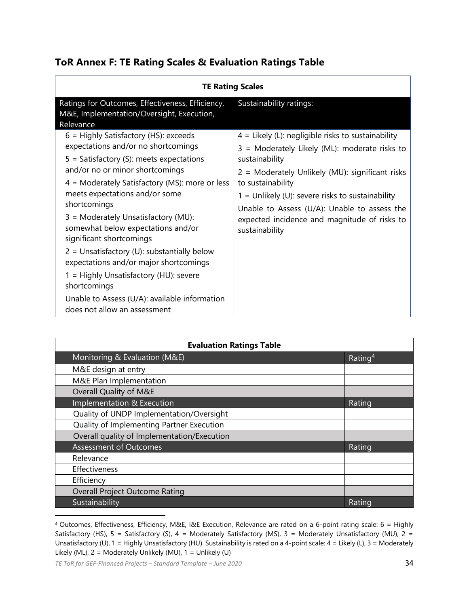## **ToR Annex F: TE Rating Scales & Evaluation Ratings Table**

| <b>TE Rating Scales</b>                                                                                                                                                                                                                                                                                                                                                                                                                                                                                                                                                                                              |                                                                                                                                                                                                                                                                                                                                                                         |  |  |
|----------------------------------------------------------------------------------------------------------------------------------------------------------------------------------------------------------------------------------------------------------------------------------------------------------------------------------------------------------------------------------------------------------------------------------------------------------------------------------------------------------------------------------------------------------------------------------------------------------------------|-------------------------------------------------------------------------------------------------------------------------------------------------------------------------------------------------------------------------------------------------------------------------------------------------------------------------------------------------------------------------|--|--|
| Ratings for Outcomes, Effectiveness, Efficiency,<br>M&E, Implementation/Oversight, Execution,<br>Relevance                                                                                                                                                                                                                                                                                                                                                                                                                                                                                                           | Sustainability ratings:                                                                                                                                                                                                                                                                                                                                                 |  |  |
| $6$ = Highly Satisfactory (HS): exceeds<br>expectations and/or no shortcomings<br>$5 =$ Satisfactory (S): meets expectations<br>and/or no or minor shortcomings<br>$4$ = Moderately Satisfactory (MS): more or less<br>meets expectations and/or some<br>shortcomings<br>3 = Moderately Unsatisfactory (MU):<br>somewhat below expectations and/or<br>significant shortcomings<br>$2 =$ Unsatisfactory (U): substantially below<br>expectations and/or major shortcomings<br>1 = Highly Unsatisfactory (HU): severe<br>shortcomings<br>Unable to Assess (U/A): available information<br>does not allow an assessment | $4$ = Likely (L): negligible risks to sustainability<br>3 = Moderately Likely (ML): moderate risks to<br>sustainability<br>2 = Moderately Unlikely (MU): significant risks<br>to sustainability<br>$1 =$ Unlikely (U): severe risks to sustainability<br>Unable to Assess (U/A): Unable to assess the<br>expected incidence and magnitude of risks to<br>sustainability |  |  |

| <b>Evaluation Ratings Table</b>             |                     |  |  |
|---------------------------------------------|---------------------|--|--|
| Monitoring & Evaluation (M&E)               | Rating <sup>4</sup> |  |  |
| M&E design at entry                         |                     |  |  |
| M&E Plan Implementation                     |                     |  |  |
| Overall Quality of M&E                      |                     |  |  |
| Implementation & Execution                  | Rating              |  |  |
| Quality of UNDP Implementation/Oversight    |                     |  |  |
| Quality of Implementing Partner Execution   |                     |  |  |
| Overall quality of Implementation/Execution |                     |  |  |
| <b>Assessment of Outcomes</b>               | Rating              |  |  |
| Relevance                                   |                     |  |  |
| Effectiveness                               |                     |  |  |
| Efficiency                                  |                     |  |  |
| <b>Overall Project Outcome Rating</b>       |                     |  |  |
| Sustainability                              | Rating              |  |  |

<sup>4</sup> Outcomes, Effectiveness, Efficiency, M&E, I&E Execution, Relevance are rated on a 6-point rating scale: 6 = Highly Satisfactory (HS), 5 = Satisfactory (S), 4 = Moderately Satisfactory (MS), 3 = Moderately Unsatisfactory (MU), 2 = Unsatisfactory (U), 1 = Highly Unsatisfactory (HU). Sustainability is rated on a 4-point scale: 4 = Likely (L), 3 = Moderately Likely (ML), 2 = Moderately Unlikely (MU), 1 = Unlikely (U)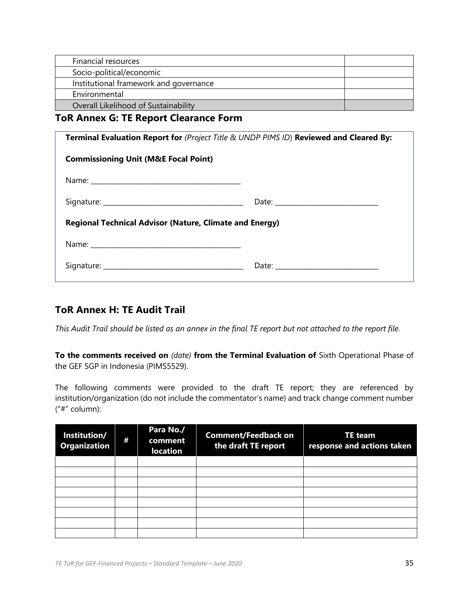| Financial resources                    |  |
|----------------------------------------|--|
| Socio-political/economic               |  |
| Institutional framework and governance |  |
| Environmental                          |  |
| Overall Likelihood of Sustainability   |  |

### **ToR Annex G: TE Report Clearance Form**

| Terminal Evaluation Report for (Project Title & UNDP PIMS ID) Reviewed and Cleared By: |  |  |  |
|----------------------------------------------------------------------------------------|--|--|--|
| <b>Commissioning Unit (M&amp;E Focal Point)</b>                                        |  |  |  |
|                                                                                        |  |  |  |
|                                                                                        |  |  |  |
| <b>Regional Technical Advisor (Nature, Climate and Energy)</b>                         |  |  |  |
|                                                                                        |  |  |  |
|                                                                                        |  |  |  |
|                                                                                        |  |  |  |

## **ToR Annex H: TE Audit Trail**

*This Audit Trail should be listed as an annex in the final TE report but not attached to the report file.* 

**To the comments received on** *(date)* **from the Terminal Evaluation of** Sixth Operational Phase of the GEF SGP in Indonesia (PIMS5529).

The following comments were provided to the draft TE report; they are referenced by institution/organization (do not include the commentator's name) and track change comment number ("#" column):

| Institution/<br><b>Organization</b> | # | Para No./<br>comment<br><b>location</b> | <b>Comment/Feedback on</b><br>the draft TE report | <b>TE team</b><br>response and actions taken |
|-------------------------------------|---|-----------------------------------------|---------------------------------------------------|----------------------------------------------|
|                                     |   |                                         |                                                   |                                              |
|                                     |   |                                         |                                                   |                                              |
|                                     |   |                                         |                                                   |                                              |
|                                     |   |                                         |                                                   |                                              |
|                                     |   |                                         |                                                   |                                              |
|                                     |   |                                         |                                                   |                                              |
|                                     |   |                                         |                                                   |                                              |
|                                     |   |                                         |                                                   |                                              |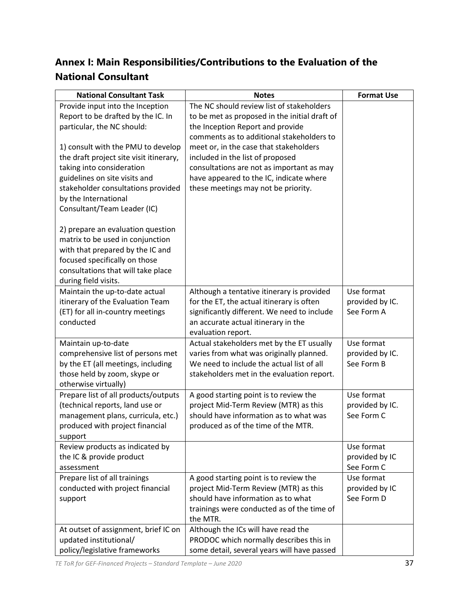# **Annex I: Main Responsibilities/Contributions to the Evaluation of the National Consultant**

| <b>National Consultant Task</b>                              | <b>Notes</b>                                  | <b>Format Use</b> |
|--------------------------------------------------------------|-----------------------------------------------|-------------------|
| Provide input into the Inception                             | The NC should review list of stakeholders     |                   |
| Report to be drafted by the IC. In                           | to be met as proposed in the initial draft of |                   |
| particular, the NC should:                                   | the Inception Report and provide              |                   |
|                                                              | comments as to additional stakeholders to     |                   |
| 1) consult with the PMU to develop                           | meet or, in the case that stakeholders        |                   |
| the draft project site visit itinerary,                      | included in the list of proposed              |                   |
| taking into consideration                                    | consultations are not as important as may     |                   |
| guidelines on site visits and                                | have appeared to the IC, indicate where       |                   |
| stakeholder consultations provided                           | these meetings may not be priority.           |                   |
| by the International                                         |                                               |                   |
| Consultant/Team Leader (IC)                                  |                                               |                   |
| 2) prepare an evaluation question                            |                                               |                   |
| matrix to be used in conjunction                             |                                               |                   |
| with that prepared by the IC and                             |                                               |                   |
| focused specifically on those                                |                                               |                   |
| consultations that will take place                           |                                               |                   |
| during field visits.                                         |                                               |                   |
| Maintain the up-to-date actual                               | Although a tentative itinerary is provided    | Use format        |
| itinerary of the Evaluation Team                             | for the ET, the actual itinerary is often     | provided by IC.   |
| (ET) for all in-country meetings                             | significantly different. We need to include   | See Form A        |
| conducted                                                    | an accurate actual itinerary in the           |                   |
|                                                              | evaluation report.                            |                   |
| Maintain up-to-date                                          | Actual stakeholders met by the ET usually     | Use format        |
| comprehensive list of persons met                            | varies from what was originally planned.      | provided by IC.   |
| by the ET (all meetings, including                           | We need to include the actual list of all     | See Form B        |
| those held by zoom, skype or                                 | stakeholders met in the evaluation report.    |                   |
| otherwise virtually)<br>Prepare list of all products/outputs | A good starting point is to review the        | Use format        |
| (technical reports, land use or                              | project Mid-Term Review (MTR) as this         | provided by IC.   |
| management plans, curricula, etc.)                           | should have information as to what was        | See Form C        |
| produced with project financial                              | produced as of the time of the MTR.           |                   |
| support                                                      |                                               |                   |
| Review products as indicated by                              |                                               | Use format        |
| the IC & provide product                                     |                                               | provided by IC    |
| assessment                                                   |                                               | See Form C        |
| Prepare list of all trainings                                | A good starting point is to review the        | Use format        |
| conducted with project financial                             | project Mid-Term Review (MTR) as this         | provided by IC    |
| support                                                      | should have information as to what            | See Form D        |
|                                                              | trainings were conducted as of the time of    |                   |
|                                                              | the MTR.                                      |                   |
| At outset of assignment, brief IC on                         | Although the ICs will have read the           |                   |
| updated institutional/                                       | PRODOC which normally describes this in       |                   |
| policy/legislative frameworks                                | some detail, several years will have passed   |                   |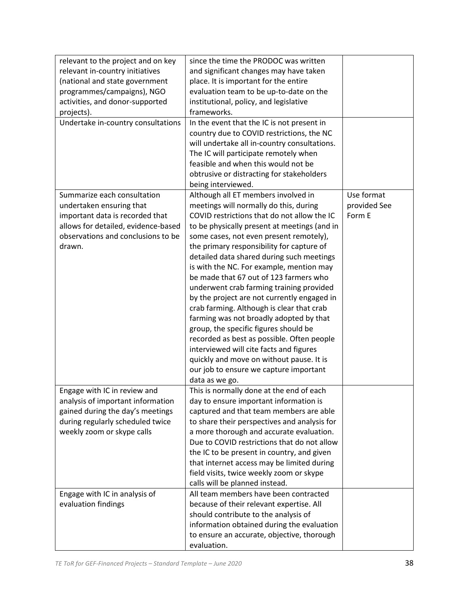| relevant to the project and on key  | since the time the PRODOC was written        |              |
|-------------------------------------|----------------------------------------------|--------------|
| relevant in-country initiatives     | and significant changes may have taken       |              |
| (national and state government      | place. It is important for the entire        |              |
| programmes/campaigns), NGO          | evaluation team to be up-to-date on the      |              |
| activities, and donor-supported     | institutional, policy, and legislative       |              |
| projects).                          | frameworks.                                  |              |
| Undertake in-country consultations  | In the event that the IC is not present in   |              |
|                                     | country due to COVID restrictions, the NC    |              |
|                                     | will undertake all in-country consultations. |              |
|                                     | The IC will participate remotely when        |              |
|                                     | feasible and when this would not be          |              |
|                                     | obtrusive or distracting for stakeholders    |              |
|                                     | being interviewed.                           |              |
| Summarize each consultation         | Although all ET members involved in          | Use format   |
| undertaken ensuring that            | meetings will normally do this, during       | provided See |
| important data is recorded that     | COVID restrictions that do not allow the IC  | Form E       |
| allows for detailed, evidence-based | to be physically present at meetings (and in |              |
| observations and conclusions to be  | some cases, not even present remotely),      |              |
| drawn.                              | the primary responsibility for capture of    |              |
|                                     | detailed data shared during such meetings    |              |
|                                     | is with the NC. For example, mention may     |              |
|                                     | be made that 67 out of 123 farmers who       |              |
|                                     | underwent crab farming training provided     |              |
|                                     | by the project are not currently engaged in  |              |
|                                     | crab farming. Although is clear that crab    |              |
|                                     | farming was not broadly adopted by that      |              |
|                                     | group, the specific figures should be        |              |
|                                     | recorded as best as possible. Often people   |              |
|                                     | interviewed will cite facts and figures      |              |
|                                     | quickly and move on without pause. It is     |              |
|                                     | our job to ensure we capture important       |              |
|                                     | data as we go.                               |              |
| Engage with IC in review and        | This is normally done at the end of each     |              |
| analysis of important information   | day to ensure important information is       |              |
| gained during the day's meetings    | captured and that team members are able      |              |
| during regularly scheduled twice    | to share their perspectives and analysis for |              |
| weekly zoom or skype calls          | a more thorough and accurate evaluation.     |              |
|                                     | Due to COVID restrictions that do not allow  |              |
|                                     | the IC to be present in country, and given   |              |
|                                     | that internet access may be limited during   |              |
|                                     | field visits, twice weekly zoom or skype     |              |
|                                     | calls will be planned instead.               |              |
| Engage with IC in analysis of       | All team members have been contracted        |              |
| evaluation findings                 | because of their relevant expertise. All     |              |
|                                     | should contribute to the analysis of         |              |
|                                     | information obtained during the evaluation   |              |
|                                     | to ensure an accurate, objective, thorough   |              |
|                                     | evaluation.                                  |              |